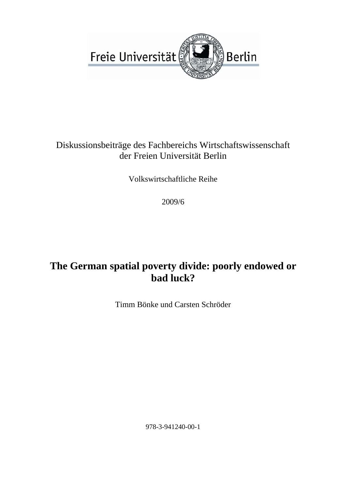

## Diskussionsbeiträge des Fachbereichs Wirtschaftswissenschaft der Freien Universität Berlin

Volkswirtschaftliche Reihe

2009/6

# **The German spatial poverty divide: poorly endowed or bad luck?**

Timm Bönke und Carsten Schröder

978-3-941240-00-1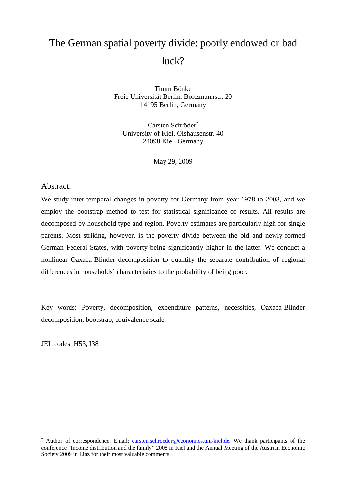# The German spatial poverty divide: poorly endowed or bad luck?

Timm Bönke Freie Universität Berlin, Boltzmannstr. 20 14195 Berlin, Germany

Carsten Schröder<sup>∗</sup> University of Kiel, Olshausenstr. 40 24098 Kiel, Germany

May 29, 2009

Abstract.

We study inter-temporal changes in poverty for Germany from year 1978 to 2003, and we employ the bootstrap method to test for statistical significance of results. All results are decomposed by household type and region. Poverty estimates are particularly high for single parents. Most striking, however, is the poverty divide between the old and newly-formed German Federal States, with poverty being significantly higher in the latter. We conduct a nonlinear Oaxaca-Blinder decomposition to quantify the separate contribution of regional differences in households' characteristics to the probability of being poor.

Key words: Poverty, decomposition, expenditure patterns, necessities, Oaxaca-Blinder decomposition, bootstrap, equivalence scale.

JEL codes: H53, I38

 $\overline{a}$ 

<sup>∗</sup> Author of correspondence. Email: carsten.schroeder@economics.uni-kiel.de. We thank participants of the conference "Income distribution and the family" 2008 in Kiel and the Annual Meeting of the Austrian Economic Society 2009 in Linz for their most valuable comments.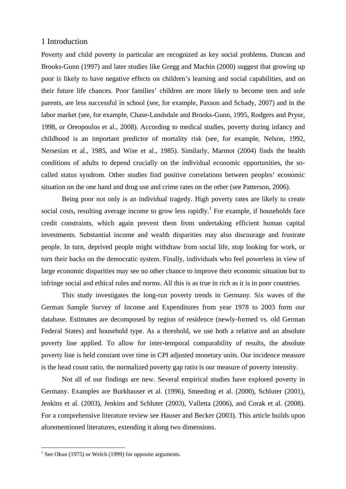## 1 Introduction

Poverty and child poverty in particular are recognized as key social problems. Duncan and Brooks-Gunn (1997) and later studies like Gregg and Machin (2000) suggest that growing up poor is likely to have negative effects on children's learning and social capabilities, and on their future life chances. Poor families' children are more likely to become teen and sole parents, are less successful in school (see, for example, Paxson and Schady, 2007) and in the labor market (see, for example, Chase-Landsdale and Brooks-Gunn, 1995, Rodgers and Pryor, 1998, or Oreopoulos et al., 2008). According to medical studies, poverty during infancy and childhood is an important predictor of mortality risk (see, for example, Nelson, 1992, Nersesian et al., 1985, and Wise et al., 1985). Similarly, Marmot (2004) finds the health conditions of adults to depend crucially on the individual economic opportunities, the socalled status syndrom. Other studies find positive correlations between peoples' economic situation on the one hand and drug use and crime rates on the other (see Patterson, 2006).

Being poor not only is an individual tragedy. High poverty rates are likely to create social costs, resulting average income to grow less rapidly.<sup>1</sup> For example, if households face credit constraints, which again prevent them from undertaking efficient human capital investments. Substantial income and wealth disparities may also discourage and frustrate people. In turn, deprived people might withdraw from social life, stop looking for work, or turn their backs on the democratic system. Finally, individuals who feel powerless in view of large economic disparities may see no other chance to improve their economic situation but to infringe social and ethical rules and norms. All this is as true in rich as it is in poor countries.

This study investigates the long-run poverty trends in Germany. Six waves of the German Sample Survey of Income and Expenditures from year 1978 to 2003 form our database. Estimates are decomposed by region of residence (newly-formed vs. old German Federal States) and household type. As a threshold, we use both a relative and an absolute poverty line applied. To allow for inter-temporal comparability of results, the absolute poverty line is held constant over time in CPI adjusted monetary units. Our incidence measure is the head count ratio, the normalized poverty gap ratio is our measure of poverty intensity.

Not all of our findings are new. Several empirical studies have explored poverty in Germany. Examples are Burkhauser et al. (1996), Smeeding et al. (2000), Schluter (2001), Jenkins et al. (2003), Jenkins and Schluter (2003), Valletta (2006), and Corak et al. (2008). For a comprehensive literature review see Hauser and Becker (2003). This article builds upon aforementioned literatures, extending it along two dimensions.

 $\overline{a}$ 

 $<sup>1</sup>$  See Okun (1975) or Welch (1999) for opposite arguments.</sup>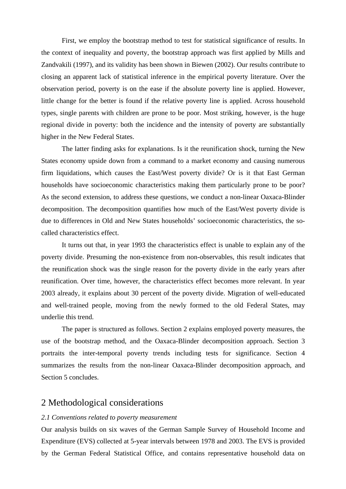First, we employ the bootstrap method to test for statistical significance of results. In the context of inequality and poverty, the bootstrap approach was first applied by Mills and Zandvakili (1997), and its validity has been shown in Biewen (2002). Our results contribute to closing an apparent lack of statistical inference in the empirical poverty literature. Over the observation period, poverty is on the ease if the absolute poverty line is applied. However, little change for the better is found if the relative poverty line is applied. Across household types, single parents with children are prone to be poor. Most striking, however, is the huge regional divide in poverty: both the incidence and the intensity of poverty are substantially higher in the New Federal States.

The latter finding asks for explanations. Is it the reunification shock, turning the New States economy upside down from a command to a market economy and causing numerous firm liquidations, which causes the East/West poverty divide? Or is it that East German households have socioeconomic characteristics making them particularly prone to be poor? As the second extension, to address these questions, we conduct a non-linear Oaxaca-Blinder decomposition. The decomposition quantifies how much of the East/West poverty divide is due to differences in Old and New States households' socioeconomic characteristics, the socalled characteristics effect.

It turns out that, in year 1993 the characteristics effect is unable to explain any of the poverty divide. Presuming the non-existence from non-observables, this result indicates that the reunification shock was the single reason for the poverty divide in the early years after reunification. Over time, however, the characteristics effect becomes more relevant. In year 2003 already, it explains about 30 percent of the poverty divide. Migration of well-educated and well-trained people, moving from the newly formed to the old Federal States, may underlie this trend.

The paper is structured as follows. Section 2 explains employed poverty measures, the use of the bootstrap method, and the Oaxaca-Blinder decomposition approach. Section 3 portraits the inter-temporal poverty trends including tests for significance. Section 4 summarizes the results from the non-linear Oaxaca-Blinder decomposition approach, and Section 5 concludes.

## 2 Methodological considerations

#### *2.1 Conventions related to poverty measurement*

Our analysis builds on six waves of the German Sample Survey of Household Income and Expenditure (EVS) collected at 5-year intervals between 1978 and 2003. The EVS is provided by the German Federal Statistical Office, and contains representative household data on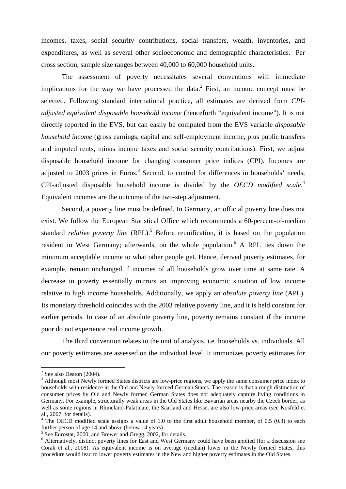incomes, taxes, social security contributions, social transfers, wealth, inventories, and expenditures, as well as several other socioeconomic and demographic characteristics. Per cross section, sample size ranges between 40,000 to 60,000 household units.

The assessment of poverty necessitates several conventions with immediate implications for the way we have processed the data.<sup>2</sup> First, an income concept must be selected. Following standard international practice, all estimates are derived from *CPIadjusted equivalent disposable household income* (henceforth "equivalent income"). It is not directly reported in the EVS, but can easily be computed from the EVS variable *disposable household income* (gross earnings, capital and self-employment income, plus public transfers and imputed rents, minus income taxes and social security contributions). First, we adjust disposable household income for changing consumer price indices (CPI). Incomes are adjusted to 2003 prices in Euros.<sup>3</sup> Second, to control for differences in households' needs, CPI-adjusted disposable household income is divided by the *OECD modified scale*. 4 Equivalent incomes are the outcome of the two-step adjustment.

Second, a poverty line must be defined. In Germany, an official poverty line does not exist. We follow the European Statistical Office which recommends a 60-percent-of-median standard *relative poverty line* (RPL).<sup>5</sup> Before reunification, it is based on the population resident in West Germany; afterwards, on the whole population. A RPL ties down the minimum acceptable income to what other people get. Hence, derived poverty estimates, for example, remain unchanged if incomes of all households grow over time at same rate. A decrease in poverty essentially mirrors an improving economic situation of low income relative to high income households. Additionally, we apply an *absolute poverty line* (APL). Its monetary threshold coincides with the 2003 relative poverty line, and it is held constant for earlier periods. In case of an absolute poverty line, poverty remains constant if the income poor do not experience real income growth.

The third convention relates to the unit of analysis, i.e. households vs. individuals. All our poverty estimates are assessed on the individual level. It immunizes poverty estimates for

 $\overline{a}$ 

 $2^2$  See also Deaton (2004).

<sup>&</sup>lt;sup>3</sup> Although most Newly formed States districts are low-price regions, we apply the same consumer price index to households with residence in the Old and Newly formed German States. The reason is that a rough distinction of consumer prices by Old and Newly formed German States does not adequately capture living conditions in Germany. For example, structurally weak areas in the Old States like Bavarian areas nearby the Czech border, as well as some regions in Rhineland-Palatinate, the Saarland and Hesse, are also low-price areas (see Kosfeld et al., 2007, for details).

 $4$  The OECD modified scale assigns a value of 1.0 to the first adult household member, of 0.5 (0.3) to each further person of age 14 and above (below 14 years).

<sup>&</sup>lt;sup>5</sup> See Eurostat, 2000, and Brewer and Gregg, 2002, for details.

<sup>&</sup>lt;sup>6</sup> Alternatively, distinct poverty lines for East and West Germany could have been applied (for a discussion see Corak et al., 2008). As equivalent income is on average (median) lower in the Newly formed States, this procedure would lead to lower poverty estimates in the New and higher poverty estimates in the Old States.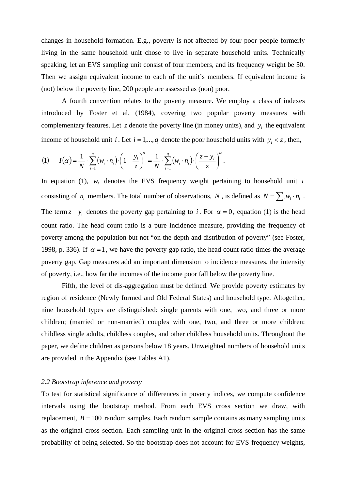changes in household formation. E.g., poverty is not affected by four poor people formerly living in the same household unit chose to live in separate household units. Technically speaking, let an EVS sampling unit consist of four members, and its frequency weight be 50. Then we assign equivalent income to each of the unit's members. If equivalent income is (not) below the poverty line, 200 people are assessed as (non) poor.

A fourth convention relates to the poverty measure. We employ a class of indexes introduced by Foster et al. (1984), covering two popular poverty measures with complementary features. Let  $z$  denote the poverty line (in money units), and  $y_i$  the equivalent income of household unit *i*. Let  $i = 1, ..., q$  denote the poor household units with  $y_i < z$ , then,

$$
(1) \qquad I(\alpha) = \frac{1}{N} \cdot \sum_{i=1}^{q} \left( w_i \cdot n_i \right) \cdot \left( 1 - \frac{y_i}{z} \right)^{\alpha} = \frac{1}{N} \cdot \sum_{i=1}^{q} \left( w_i \cdot n_i \right) \cdot \left( \frac{z - y_i}{z} \right)^{\alpha}.
$$

In equation (1),  $w_i$  denotes the EVS frequency weight pertaining to household unit *i* consisting of  $n_i$  members. The total number of observations, *N*, is defined as  $N = \sum_i w_i \cdot n_i$ . The term  $z - y_i$  denotes the poverty gap pertaining to *i*. For  $\alpha = 0$ , equation (1) is the head count ratio. The head count ratio is a pure incidence measure, providing the frequency of poverty among the population but not "on the depth and distribution of poverty" (see Foster, 1998, p. 336). If  $\alpha = 1$ , we have the poverty gap ratio, the head count ratio times the average poverty gap. Gap measures add an important dimension to incidence measures, the intensity of poverty, i.e., how far the incomes of the income poor fall below the poverty line.

Fifth, the level of dis-aggregation must be defined. We provide poverty estimates by region of residence (Newly formed and Old Federal States) and household type. Altogether, nine household types are distinguished: single parents with one, two, and three or more children; (married or non-married) couples with one, two, and three or more children; childless single adults, childless couples, and other childless household units. Throughout the paper, we define children as persons below 18 years. Unweighted numbers of household units are provided in the Appendix (see Tables A1).

#### *2.2 Bootstrap inference and poverty*

To test for statistical significance of differences in poverty indices, we compute confidence intervals using the bootstrap method. From each EVS cross section we draw, with replacement,  $B = 100$  random samples. Each random sample contains as many sampling units as the original cross section. Each sampling unit in the original cross section has the same probability of being selected. So the bootstrap does not account for EVS frequency weights,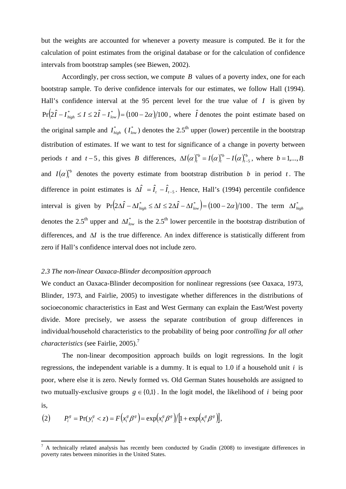but the weights are accounted for whenever a poverty measure is computed. Be it for the calculation of point estimates from the original database or for the calculation of confidence intervals from bootstrap samples (see Biewen, 2002).

Accordingly, per cross section, we compute *B* values of a poverty index, one for each bootstrap sample. To derive confidence intervals for our estimates, we follow Hall (1994). Hall's confidence interval at the 95 percent level for the true value of *I* is given by  $Pr(2\hat{I} - I_{high}^* \le I \le 2\hat{I} - I_{low}^*) = (100 - 2\alpha)/100$ , where  $\hat{I}$  denotes the point estimate based on the original sample and  $I_{high}^*$  ( $I_{low}^*$ ) denotes the 2.5<sup>th</sup> upper (lower) percentile in the bootstrap distribution of estimates. If we want to test for significance of a change in poverty between periods *t* and *t* − 5, this gives *B* differences,  $\Delta I(\alpha)_{t}^{*b} = I(\alpha)_{t}^{*b} - I(\alpha)_{t}^{*b}$ *b t*  $\Delta I(\alpha)_{t}^{*b} = I(\alpha)_{t}^{*b} - I(\alpha)_{t-5}^{*b}$ , where  $b = 1,...,B$ and  $I(\alpha)_t^{*b}$  denotes the poverty estimate from bootstrap distribution *b* in period *t*. The difference in point estimates is  $\Delta \hat{I} = \hat{I}_t - \hat{I}_{t-5}$ . Hence, Hall's (1994) percentile confidence interval is given by  $Pr( 2\Delta \hat{I} - \Delta I_{high}^* \le \Delta I \le 2\Delta \hat{I} - \Delta I_{low}^* ) = (100 - 2\alpha)/100$ . The term  $\Delta I_{high}^*$ denotes the 2.5<sup>th</sup> upper and  $\Delta I_{low}^*$  is the 2.5<sup>th</sup> lower percentile in the bootstrap distribution of differences, and ∆*I* is the true difference. An index difference is statistically different from zero if Hall's confidence interval does not include zero.

#### *2.3 The non-linear Oaxaca-Blinder decomposition approach*

We conduct an Oaxaca-Blinder decomposition for nonlinear regressions (see Oaxaca, 1973, Blinder, 1973, and Fairlie, 2005) to investigate whether differences in the distributions of socioeconomic characteristics in East and West Germany can explain the East/West poverty divide. More precisely, we assess the separate contribution of group differences in individual/household characteristics to the probability of being poor *controlling for all other characteristics* (see Fairlie, 2005).7

 The non-linear decomposition approach builds on logit regressions. In the logit regressions, the independent variable is a dummy. It is equal to 1.0 if a household unit *i* is poor, where else it is zero. Newly formed vs. Old German States households are assigned to two mutually-exclusive groups  $g \in \{0,1\}$ . In the logit model, the likelihood of *i* being poor is,

$$
(2) \qquad P_i^g = \Pr(y_i^g < z) = F\big(x_i^g \beta^g\big) = \exp\big(x_i^g \beta^g\big) / \big[1 + \exp\big(x_i^g \beta^g\big)\big],
$$

 $\overline{a}$ 

 $^7$  A technically related analysis has recently been conducted by Gradín (2008) to investigate differences in poverty rates between minorities in the United States.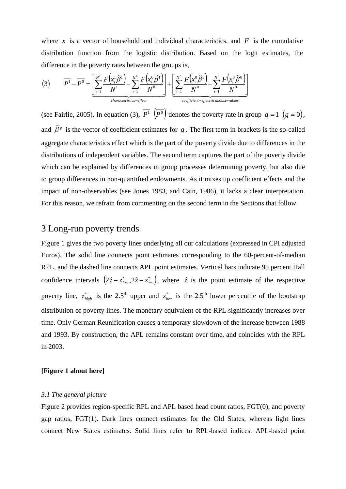where  $x$  is a vector of household and individual characteristics, and  $F$  is the cumulative distribution function from the logistic distribution. Based on the logit estimates, the difference in the poverty rates between the groups is,

$$
(3) \qquad \overline{P}^1 - \overline{P}^0 = \left[ \underbrace{\sum_{i=1}^{N^1} \frac{F(x_i^1 \hat{\beta}^1)}{N^1} - \sum_{i=1}^{N^0} \frac{F(x_i^0 \hat{\beta}^1)}{N^0}}_{\text{characteristics-effect}} \right] + \left[ \underbrace{\sum_{i=1}^{N^0} \frac{F(x_i^0 \hat{\beta}^1)}{N^0} - \sum_{i=1}^{N^1} \frac{F(x_i^0 \hat{\beta}^0)}{N^0}}_{\text{coefficient-effect & \text{unobservable}}}\right]}_{\text{coefficient-effect & \text{unobservable}}}
$$

(see Fairlie, 2005). In equation (3),  $\overline{P^1}$   $(\overline{P^0})$  denotes the poverty rate in group  $g = 1$   $(g = 0)$ , and  $\hat{\beta}^s$  is the vector of coefficient estimates for *g*. The first term in brackets is the so-called aggregate characteristics effect which is the part of the poverty divide due to differences in the distributions of independent variables. The second term captures the part of the poverty divide which can be explained by differences in group processes determining poverty, but also due to group differences in non-quantified endowments. As it mixes up coefficient effects and the impact of non-observables (see Jones 1983, and Cain, 1986), it lacks a clear interpretation. For this reason, we refrain from commenting on the second term in the Sections that follow.

## 3 Long-run poverty trends

Figure 1 gives the two poverty lines underlying all our calculations (expressed in CPI adjusted Euros). The solid line connects point estimates corresponding to the 60-percent-of-median RPL, and the dashed line connects APL point estimates. Vertical bars indicate 95 percent Hall confidence intervals  $(2\hat{z} - z_{high}^*, 2\hat{z} - z_{low}^*)$ , where  $\hat{z}$  is the point estimate of the respective poverty line,  $z_{high}^*$  is the 2.5<sup>th</sup> upper and  $z_{low}^*$  is the 2.5<sup>th</sup> lower percentile of the bootstrap distribution of poverty lines. The monetary equivalent of the RPL significantly increases over time. Only German Reunification causes a temporary slowdown of the increase between 1988 and 1993. By construction, the APL remains constant over time, and coincides with the RPL in 2003.

#### **[Figure 1 about here]**

#### *3.1 The general picture*

Figure 2 provides region-specific RPL and APL based head count ratios, FGT(0), and poverty gap ratios, FGT(1). Dark lines connect estimates for the Old States, whereas light lines connect New States estimates. Solid lines refer to RPL-based indices. APL-based point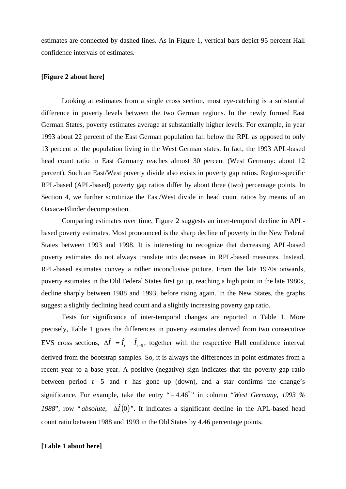estimates are connected by dashed lines. As in Figure 1, vertical bars depict 95 percent Hall confidence intervals of estimates.

#### **[Figure 2 about here]**

Looking at estimates from a single cross section, most eye-catching is a substantial difference in poverty levels between the two German regions. In the newly formed East German States, poverty estimates average at substantially higher levels. For example, in year 1993 about 22 percent of the East German population fall below the RPL as opposed to only 13 percent of the population living in the West German states. In fact, the 1993 APL-based head count ratio in East Germany reaches almost 30 percent (West Germany: about 12 percent). Such an East/West poverty divide also exists in poverty gap ratios. Region-specific RPL-based (APL-based) poverty gap ratios differ by about three (two) percentage points. In Section 4, we further scrutinize the East/West divide in head count ratios by means of an Oaxaca-Blinder decomposition.

Comparing estimates over time, Figure 2 suggests an inter-temporal decline in APLbased poverty estimates. Most pronounced is the sharp decline of poverty in the New Federal States between 1993 and 1998. It is interesting to recognize that decreasing APL-based poverty estimates do not always translate into decreases in RPL-based measures. Instead, RPL-based estimates convey a rather inconclusive picture. From the late 1970s onwards, poverty estimates in the Old Federal States first go up, reaching a high point in the late 1980s, decline sharply between 1988 and 1993, before rising again. In the New States, the graphs suggest a slightly declining head count and a slightly increasing poverty gap ratio.

Tests for significance of inter-temporal changes are reported in Table 1. More precisely, Table 1 gives the differences in poverty estimates derived from two consecutive EVS cross sections,  $\Delta \hat{I} = \hat{I}_t - \hat{I}_{t-5}$ , together with the respective Hall confidence interval derived from the bootstrap samples. So, it is always the differences in point estimates from a recent year to a base year. A positive (negative) sign indicates that the poverty gap ratio between period  $t - 5$  and  $t$  has gone up (down), and a star confirms the change's significance. For example, take the entry " \* − 4.46 " in column "*West Germany, 1993 % 1988*", row "*absolute*,  $\Delta \hat{I}(0)$ ". It indicates a significant decline in the APL-based head count ratio between 1988 and 1993 in the Old States by 4.46 percentage points.

#### **[Table 1 about here]**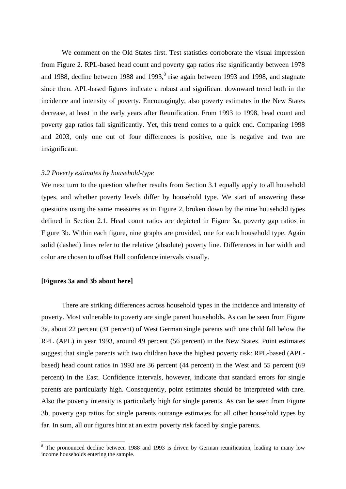We comment on the Old States first. Test statistics corroborate the visual impression from Figure 2. RPL-based head count and poverty gap ratios rise significantly between 1978 and 1988, decline between 1988 and 1993, ${}^{8}$  rise again between 1993 and 1998, and stagnate since then. APL-based figures indicate a robust and significant downward trend both in the incidence and intensity of poverty. Encouragingly, also poverty estimates in the New States decrease, at least in the early years after Reunification. From 1993 to 1998, head count and poverty gap ratios fall significantly. Yet, this trend comes to a quick end. Comparing 1998 and 2003, only one out of four differences is positive, one is negative and two are insignificant.

#### *3.2 Poverty estimates by household-type*

We next turn to the question whether results from Section 3.1 equally apply to all household types, and whether poverty levels differ by household type. We start of answering these questions using the same measures as in Figure 2, broken down by the nine household types defined in Section 2.1. Head count ratios are depicted in Figure 3a, poverty gap ratios in Figure 3b. Within each figure, nine graphs are provided, one for each household type. Again solid (dashed) lines refer to the relative (absolute) poverty line. Differences in bar width and color are chosen to offset Hall confidence intervals visually.

#### **[Figures 3a and 3b about here]**

 $\overline{a}$ 

There are striking differences across household types in the incidence and intensity of poverty. Most vulnerable to poverty are single parent households. As can be seen from Figure 3a, about 22 percent (31 percent) of West German single parents with one child fall below the RPL (APL) in year 1993, around 49 percent (56 percent) in the New States. Point estimates suggest that single parents with two children have the highest poverty risk: RPL-based (APLbased) head count ratios in 1993 are 36 percent (44 percent) in the West and 55 percent (69 percent) in the East. Confidence intervals, however, indicate that standard errors for single parents are particularly high. Consequently, point estimates should be interpreted with care. Also the poverty intensity is particularly high for single parents. As can be seen from Figure 3b, poverty gap ratios for single parents outrange estimates for all other household types by far. In sum, all our figures hint at an extra poverty risk faced by single parents.

<sup>&</sup>lt;sup>8</sup> The pronounced decline between 1988 and 1993 is driven by German reunification, leading to many low income households entering the sample.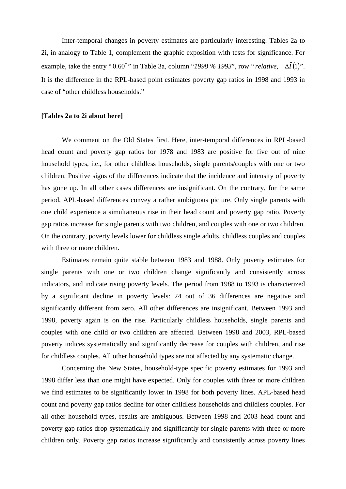Inter-temporal changes in poverty estimates are particularly interesting. Tables 2a to 2i, in analogy to Table 1, complement the graphic exposition with tests for significance. For example, take the entry "0.60<sup>\*</sup>" in Table 3a, column "1998 % 1993", row " *relative*,  $\Delta \hat{I}(1)$ ". It is the difference in the RPL-based point estimates poverty gap ratios in 1998 and 1993 in case of "other childless households."

#### **[Tables 2a to 2i about here]**

We comment on the Old States first. Here, inter-temporal differences in RPL-based head count and poverty gap ratios for 1978 and 1983 are positive for five out of nine household types, i.e., for other childless households, single parents/couples with one or two children. Positive signs of the differences indicate that the incidence and intensity of poverty has gone up. In all other cases differences are insignificant. On the contrary, for the same period, APL-based differences convey a rather ambiguous picture. Only single parents with one child experience a simultaneous rise in their head count and poverty gap ratio. Poverty gap ratios increase for single parents with two children, and couples with one or two children. On the contrary, poverty levels lower for childless single adults, childless couples and couples with three or more children.

Estimates remain quite stable between 1983 and 1988. Only poverty estimates for single parents with one or two children change significantly and consistently across indicators, and indicate rising poverty levels. The period from 1988 to 1993 is characterized by a significant decline in poverty levels: 24 out of 36 differences are negative and significantly different from zero. All other differences are insignificant. Between 1993 and 1998, poverty again is on the rise. Particularly childless households, single parents and couples with one child or two children are affected. Between 1998 and 2003, RPL-based poverty indices systematically and significantly decrease for couples with children, and rise for childless couples. All other household types are not affected by any systematic change.

Concerning the New States, household-type specific poverty estimates for 1993 and 1998 differ less than one might have expected. Only for couples with three or more children we find estimates to be significantly lower in 1998 for both poverty lines. APL-based head count and poverty gap ratios decline for other childless households and childless couples. For all other household types, results are ambiguous. Between 1998 and 2003 head count and poverty gap ratios drop systematically and significantly for single parents with three or more children only. Poverty gap ratios increase significantly and consistently across poverty lines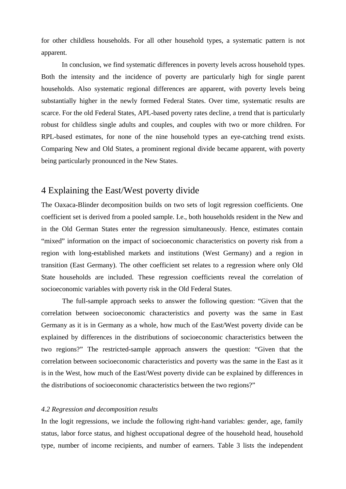for other childless households. For all other household types, a systematic pattern is not apparent.

 In conclusion, we find systematic differences in poverty levels across household types. Both the intensity and the incidence of poverty are particularly high for single parent households. Also systematic regional differences are apparent, with poverty levels being substantially higher in the newly formed Federal States. Over time, systematic results are scarce. For the old Federal States, APL-based poverty rates decline, a trend that is particularly robust for childless single adults and couples, and couples with two or more children. For RPL-based estimates, for none of the nine household types an eye-catching trend exists. Comparing New and Old States, a prominent regional divide became apparent, with poverty being particularly pronounced in the New States.

## 4 Explaining the East/West poverty divide

The Oaxaca-Blinder decomposition builds on two sets of logit regression coefficients. One coefficient set is derived from a pooled sample. I.e., both households resident in the New and in the Old German States enter the regression simultaneously. Hence, estimates contain "mixed" information on the impact of socioeconomic characteristics on poverty risk from a region with long-established markets and institutions (West Germany) and a region in transition (East Germany). The other coefficient set relates to a regression where only Old State households are included. These regression coefficients reveal the correlation of socioeconomic variables with poverty risk in the Old Federal States.

 The full-sample approach seeks to answer the following question: "Given that the correlation between socioeconomic characteristics and poverty was the same in East Germany as it is in Germany as a whole, how much of the East/West poverty divide can be explained by differences in the distributions of socioeconomic characteristics between the two regions?" The restricted-sample approach answers the question: "Given that the correlation between socioeconomic characteristics and poverty was the same in the East as it is in the West, how much of the East/West poverty divide can be explained by differences in the distributions of socioeconomic characteristics between the two regions?"

#### *4.2 Regression and decomposition results*

In the logit regressions, we include the following right-hand variables: gender, age, family status, labor force status, and highest occupational degree of the household head, household type, number of income recipients, and number of earners. Table 3 lists the independent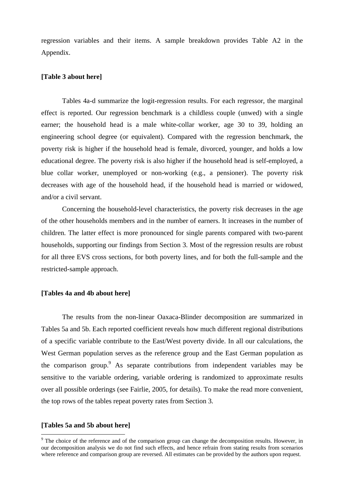regression variables and their items. A sample breakdown provides Table A2 in the Appendix.

#### **[Table 3 about here]**

 Tables 4a-d summarize the logit-regression results. For each regressor, the marginal effect is reported. Our regression benchmark is a childless couple (unwed) with a single earner; the household head is a male white-collar worker, age 30 to 39, holding an engineering school degree (or equivalent). Compared with the regression benchmark, the poverty risk is higher if the household head is female, divorced, younger, and holds a low educational degree. The poverty risk is also higher if the household head is self-employed, a blue collar worker, unemployed or non-working (e.g., a pensioner). The poverty risk decreases with age of the household head, if the household head is married or widowed, and/or a civil servant.

 Concerning the household-level characteristics, the poverty risk decreases in the age of the other households members and in the number of earners. It increases in the number of children. The latter effect is more pronounced for single parents compared with two-parent households, supporting our findings from Section 3. Most of the regression results are robust for all three EVS cross sections, for both poverty lines, and for both the full-sample and the restricted-sample approach.

#### **[Tables 4a and 4b about here]**

 The results from the non-linear Oaxaca-Blinder decomposition are summarized in Tables 5a and 5b. Each reported coefficient reveals how much different regional distributions of a specific variable contribute to the East/West poverty divide. In all our calculations, the West German population serves as the reference group and the East German population as the comparison group. As separate contributions from independent variables may be sensitive to the variable ordering, variable ordering is randomized to approximate results over all possible orderings (see Fairlie, 2005, for details). To make the read more convenient, the top rows of the tables repeat poverty rates from Section 3.

#### **[Tables 5a and 5b about here]**

 $\overline{a}$ 

 $9<sup>9</sup>$  The choice of the reference and of the comparison group can change the decomposition results. However, in our decomposition analysis we do not find such effects, and hence refrain from stating results from scenarios where reference and comparison group are reversed. All estimates can be provided by the authors upon request.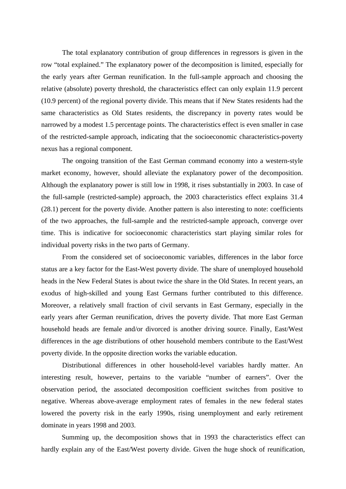The total explanatory contribution of group differences in regressors is given in the row "total explained." The explanatory power of the decomposition is limited, especially for the early years after German reunification. In the full-sample approach and choosing the relative (absolute) poverty threshold, the characteristics effect can only explain 11.9 percent (10.9 percent) of the regional poverty divide. This means that if New States residents had the same characteristics as Old States residents, the discrepancy in poverty rates would be narrowed by a modest 1.5 percentage points. The characteristics effect is even smaller in case of the restricted-sample approach, indicating that the socioeconomic characteristics-poverty nexus has a regional component.

 The ongoing transition of the East German command economy into a western-style market economy, however, should alleviate the explanatory power of the decomposition. Although the explanatory power is still low in 1998, it rises substantially in 2003. In case of the full-sample (restricted-sample) approach, the 2003 characteristics effect explains 31.4 (28.1) percent for the poverty divide. Another pattern is also interesting to note: coefficients of the two approaches, the full-sample and the restricted-sample approach, converge over time. This is indicative for socioeconomic characteristics start playing similar roles for individual poverty risks in the two parts of Germany.

 From the considered set of socioeconomic variables, differences in the labor force status are a key factor for the East-West poverty divide. The share of unemployed household heads in the New Federal States is about twice the share in the Old States. In recent years, an exodus of high-skilled and young East Germans further contributed to this difference. Moreover, a relatively small fraction of civil servants in East Germany, especially in the early years after German reunification, drives the poverty divide. That more East German household heads are female and/or divorced is another driving source. Finally, East/West differences in the age distributions of other household members contribute to the East/West poverty divide. In the opposite direction works the variable education.

 Distributional differences in other household-level variables hardly matter. An interesting result, however, pertains to the variable "number of earners". Over the observation period, the associated decomposition coefficient switches from positive to negative. Whereas above-average employment rates of females in the new federal states lowered the poverty risk in the early 1990s, rising unemployment and early retirement dominate in years 1998 and 2003.

 Summing up, the decomposition shows that in 1993 the characteristics effect can hardly explain any of the East/West poverty divide. Given the huge shock of reunification,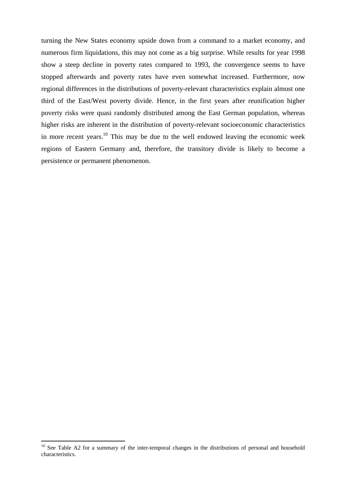turning the New States economy upside down from a command to a market economy, and numerous firm liquidations, this may not come as a big surprise. While results for year 1998 show a steep decline in poverty rates compared to 1993, the convergence seems to have stopped afterwards and poverty rates have even somewhat increased. Furthermore, now regional differences in the distributions of poverty-relevant characteristics explain almost one third of the East/West poverty divide. Hence, in the first years after reunification higher poverty risks were quasi randomly distributed among the East German population, whereas higher risks are inherent in the distribution of poverty-relevant socioeconomic characteristics in more recent years.10 This may be due to the well endowed leaving the economic week regions of Eastern Germany and, therefore, the transitory divide is likely to become a persistence or permanent phenomenon.

 $\overline{a}$ 

 $10$  See Table A2 for a summary of the inter-temporal changes in the distributions of personal and household characteristics.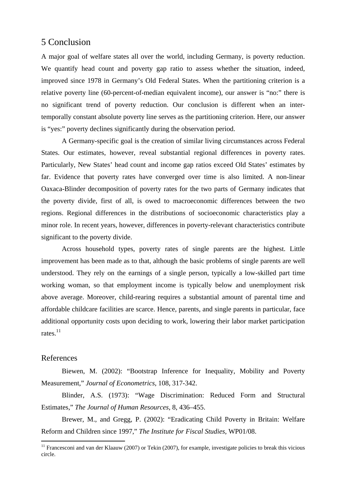## 5 Conclusion

A major goal of welfare states all over the world, including Germany, is poverty reduction. We quantify head count and poverty gap ratio to assess whether the situation, indeed, improved since 1978 in Germany's Old Federal States. When the partitioning criterion is a relative poverty line (60-percent-of-median equivalent income), our answer is "no:" there is no significant trend of poverty reduction. Our conclusion is different when an intertemporally constant absolute poverty line serves as the partitioning criterion. Here, our answer is "yes:" poverty declines significantly during the observation period.

 A Germany-specific goal is the creation of similar living circumstances across Federal States. Our estimates, however, reveal substantial regional differences in poverty rates. Particularly, New States' head count and income gap ratios exceed Old States' estimates by far. Evidence that poverty rates have converged over time is also limited. A non-linear Oaxaca-Blinder decomposition of poverty rates for the two parts of Germany indicates that the poverty divide, first of all, is owed to macroeconomic differences between the two regions. Regional differences in the distributions of socioeconomic characteristics play a minor role. In recent years, however, differences in poverty-relevant characteristics contribute significant to the poverty divide.

Across household types, poverty rates of single parents are the highest. Little improvement has been made as to that, although the basic problems of single parents are well understood. They rely on the earnings of a single person, typically a low-skilled part time working woman, so that employment income is typically below and unemployment risk above average. Moreover, child-rearing requires a substantial amount of parental time and affordable childcare facilities are scarce. Hence, parents, and single parents in particular, face additional opportunity costs upon deciding to work, lowering their labor market participation rates. $^{11}$ 

#### References

 $\overline{a}$ 

Biewen, M. (2002): "Bootstrap Inference for Inequality, Mobility and Poverty Measurement," *Journal of Econometrics*, 108, 317-342.

Blinder, A.S. (1973): "Wage Discrimination: Reduced Form and Structural Estimates," *The Journal of Human Resources*, 8, 436–455.

Brewer, M., and Gregg, P. (2002): "Eradicating Child Poverty in Britain: Welfare Reform and Children since 1997," *The Institute for Fiscal Studies*, WP01/08.

 $11$  Francesconi and van der Klaauw (2007) or Tekin (2007), for example, investigate policies to break this vicious circle.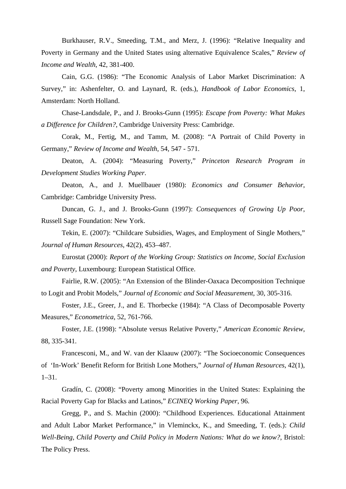Burkhauser, R.V., Smeeding, T.M., and Merz, J. (1996): "Relative Inequality and Poverty in Germany and the United States using alternative Equivalence Scales," *Review of Income and Wealth*, 42, 381-400.

Cain, G.G. (1986): "The Economic Analysis of Labor Market Discrimination: A Survey," in: Ashenfelter, O. and Laynard, R. (eds.), *Handbook of Labor Economics*, 1, Amsterdam: North Holland.

Chase-Landsdale, P., and J. Brooks-Gunn (1995): *Escape from Poverty: What Makes a Difference for Children?*, Cambridge University Press: Cambridge.

Corak, M., Fertig, M., and Tamm, M. (2008): "A Portrait of Child Poverty in Germany," *Review of Income and Wealth*, 54, 547 - 571.

Deaton, A. (2004): "Measuring Poverty," *Princeton Research Program in Development Studies Working Paper*.

Deaton, A., and J. Muellbauer (1980): *Economics and Consumer Behavior*, Cambridge: Cambridge University Press.

Duncan, G. J., and J. Brooks-Gunn (1997): *Consequences of Growing Up Poor*, Russell Sage Foundation: New York.

Tekin, E. (2007): "Childcare Subsidies, Wages, and Employment of Single Mothers," *Journal of Human Resources*, 42(2), 453–487.

Eurostat (2000): *Report of the Working Group: Statistics on Income, Social Exclusion and Poverty*, Luxembourg: European Statistical Office.

Fairlie, R.W. (2005): "An Extension of the Blinder-Oaxaca Decomposition Technique to Logit and Probit Models," *Journal of Economic and Social Measurement*, 30, 305-316.

Foster, J.E., Greer, J., and E. Thorbecke (1984): "A Class of Decomposable Poverty Measures," *Econometrica*, 52, 761-766.

Foster, J.E. (1998): "Absolute versus Relative Poverty," *American Economic Review*, 88, 335-341.

Francesconi, M., and W. van der Klaauw (2007): "The Socioeconomic Consequences of 'In-Work' Benefit Reform for British Lone Mothers," *Journal of Human Resources*, 42(1), 1–31.

Gradín, C. (2008): "Poverty among Minorities in the United States: Explaining the Racial Poverty Gap for Blacks and Latinos," *ECINEQ Working Paper*, 96.

Gregg, P., and S. Machin (2000): "Childhood Experiences. Educational Attainment and Adult Labor Market Performance," in Vleminckx, K., and Smeeding, T. (eds.): *Child Well-Being, Child Poverty and Child Policy in Modern Nations: What do we know?*, Bristol: The Policy Press.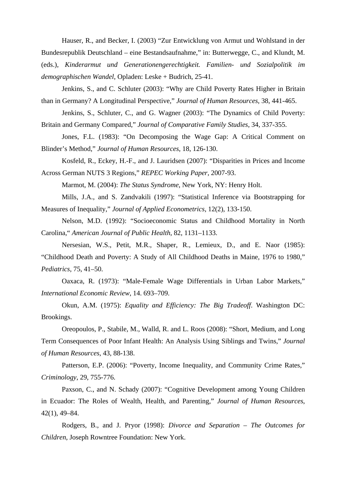Hauser, R., and Becker, I. (2003) "Zur Entwicklung von Armut und Wohlstand in der Bundesrepublik Deutschland – eine Bestandsaufnahme," in: Butterwegge, C., and Klundt, M. (eds.), *Kinderarmut und Generationengerechtigkeit. Familien- und Sozialpolitik im demographischen Wandel*, Opladen: Leske + Budrich, 25-41.

Jenkins, S., and C. Schluter (2003): "Why are Child Poverty Rates Higher in Britain than in Germany? A Longitudinal Perspective," *Journal of Human Resources*, 38, 441-465.

Jenkins, S., Schluter, C., and G. Wagner (2003): "The Dynamics of Child Poverty: Britain and Germany Compared," *Journal of Comparative Family Studies*, 34, 337-355.

Jones, F.L. (1983): "On Decomposing the Wage Gap: A Critical Comment on Blinder's Method," *Journal of Human Resources*, 18, 126-130.

Kosfeld, R., Eckey, H.-F., and J. Lauridsen (2007): "Disparities in Prices and Income Across German NUTS 3 Regions," *REPEC Working Paper*, 2007-93.

Marmot, M. (2004): *The Status Syndrome*, New York, NY: Henry Holt.

Mills, J.A., and S. Zandvakili (1997): "Statistical Inference via Bootstrapping for Measures of Inequality," *Journal of Applied Econometrics*, 12(2), 133-150.

Nelson, M.D. (1992): "Socioeconomic Status and Childhood Mortality in North Carolina," *American Journal of Public Health*, 82, 1131–1133.

Nersesian, W.S., Petit, M.R., Shaper, R., Lemieux, D., and E. Naor (1985): "Childhood Death and Poverty: A Study of All Childhood Deaths in Maine, 1976 to 1980," *Pediatrics*, 75, 41–50.

Oaxaca, R. (1973): "Male-Female Wage Differentials in Urban Labor Markets," *International Economic Review*, 14. 693–709.

Okun, A.M. (1975): *Equality and Efficiency: The Big Tradeoff*. Washington DC: Brookings.

Oreopoulos, P., Stabile, M., Walld, R. and L. Roos (2008): "Short, Medium, and Long Term Consequences of Poor Infant Health: An Analysis Using Siblings and Twins," *Journal of Human Resources*, 43, 88-138.

Patterson, E.P. (2006): "Poverty, Income Inequality, and Community Crime Rates," *Criminology*, 29, 755-776.

Paxson, C., and N. Schady (2007): "Cognitive Development among Young Children in Ecuador: The Roles of Wealth, Health, and Parenting," *Journal of Human Resources*, 42(1), 49–84.

Rodgers, B., and J. Pryor (1998): *Divorce and Separation – The Outcomes for Children*, Joseph Rowntree Foundation: New York.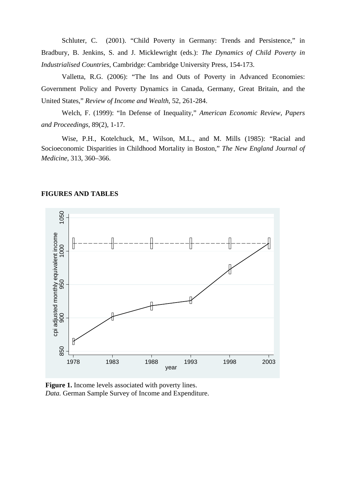Schluter, C. (2001). "Child Poverty in Germany: Trends and Persistence," in Bradbury, B. Jenkins, S. and J. Micklewright (eds.): *The Dynamics of Child Poverty in Industrialised Countries*, Cambridge: Cambridge University Press, 154-173.

Valletta, R.G. (2006): "The Ins and Outs of Poverty in Advanced Economies: Government Policy and Poverty Dynamics in Canada, Germany, Great Britain, and the United States," *Review of Income and Wealth*, 52, 261-284.

Welch, F. (1999): "In Defense of Inequality," *American Economic Review, Papers and Proceedings*, 89(2), 1-17.

Wise, P.H., Kotelchuck, M., Wilson, M.L., and M. Mills (1985): "Racial and Socioeconomic Disparities in Childhood Mortality in Boston," *The New England Journal of Medicine*, 313, 360–366.



#### **FIGURES AND TABLES**

**Figure 1.** Income levels associated with poverty lines.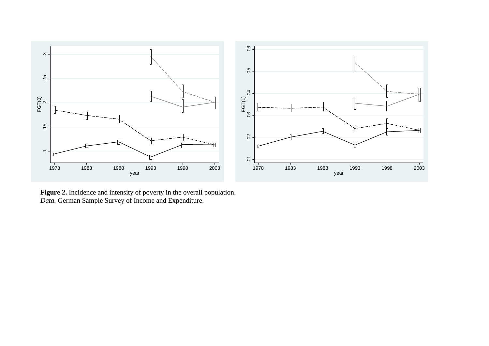

**Figure 2.** Incidence and intensity of poverty in the overall population. *Data.* German Sample Survey of Income and Expenditure.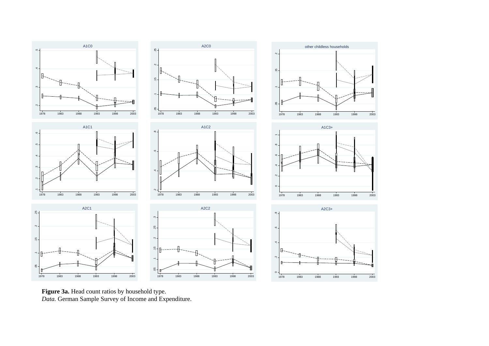





A2C3+

A1C3+

**Figure 3a.** Head count ratios by household type. *Data.* German Sample Survey of Income and Expenditure.

 $1978$ 

6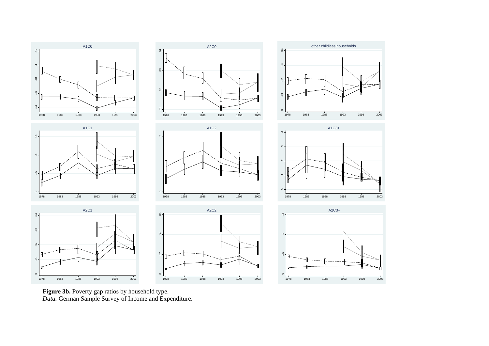

**Figure 3b.** Poverty gap ratios by household type. *Data.* German Sample Survey of Income and Expenditure.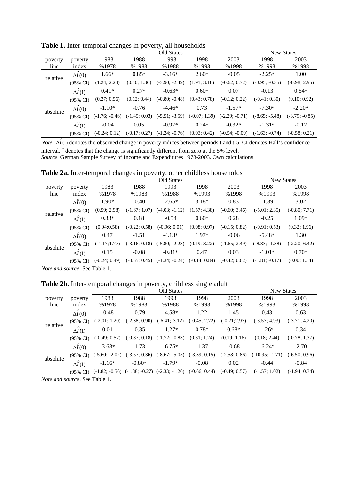|          |                     |                  |                 | <b>New States</b> |                 |                  |                  |                  |
|----------|---------------------|------------------|-----------------|-------------------|-----------------|------------------|------------------|------------------|
| poverty  | poverty             | 1983             | 1988            | 1993              | 1998            | 2003             | 1998             | 2003             |
| line     | index               | %1978            | %1983           | %1988             | %1993           | %1998            | %1993            | %1998            |
| relative | $\Delta I(0)$       | $1.66*$          | $0.85*$         | $-3.16*$          | $2.60*$         | $-0.05$          | $-2.25*$         | 1.00             |
|          | $(95\% \text{ CI})$ | (1.24; 2.24)     | (0.10; 1.36)    | $(-3.90; -2.49)$  | (1.91; 3.18)    | $(-0.62; 0.72)$  | $(-3.95; -0.35)$ | $(-0.98; 2.95)$  |
|          | $\Delta I(1)$       | $0.41*$          | $0.27*$         | $-0.63*$          | $0.60*$         | 0.07             | $-0.13$          | $0.54*$          |
|          | $(95\% \text{ CI})$ | (0.27; 0.56)     | (0.12; 0.44)    | $(-0.80; -0.48)$  | (0.43; 0.78)    | $(-0.12; 0.22)$  | $(-0.41; 0.30)$  | (0.10; 0.92)     |
| absolute | $\Delta \hat{I}(0)$ | $-1.10*$         | $-0.76$         | $-4.46*$          | 0.73            | $-1.57*$         | $-7.30*$         | $-2.20*$         |
|          | $(95\% \text{ CI})$ | $(-1.76; -0.46)$ | $(-1.45; 0.03)$ | $(-5.51; -3.59)$  | $(-0.07; 1.39)$ | $(-2.29; -0.71)$ | $(-8.65; -5.48)$ | $(-3.79; -0.85)$ |
|          | $\Delta \hat{I}(1)$ | $-0.04$          | 0.05            | $-0.97*$          | $0.24*$         | $-0.32*$         | $-1.31*$         | $-0.12$          |
|          | $(95\% \text{ CI})$ | $(-0.24; 0.12)$  | $(-0.17; 0.27)$ | $(-1.24; -0.76)$  | (0.03; 0.42)    | $(-0.54; -0.09)$ | $(-1.63; -0.74)$ | $(-0.58; 0.21)$  |

Table 1. Inter-temporal changes in poverty, all households

*Note.*  $\Delta \hat{I}$ (.) denotes the observed change in poverty indices between periods t and t-5. CI denotes Hall's confidence interval. \* denotes that the change is significantly different from zero at the 5% level. *Source*. German Sample Survey of Income and Expenditures 1978-2003. Own calculations.

| Table 2a. Inter-temporal changes in poverty, other childless households |                   |
|-------------------------------------------------------------------------|-------------------|
| Old States                                                              | <b>New States</b> |

|          |                      |                 |                 |                                                  | New States   |                 |                  |                 |
|----------|----------------------|-----------------|-----------------|--------------------------------------------------|--------------|-----------------|------------------|-----------------|
| poverty  | poverty              | 1983            | 1988            | 1993                                             | 1998         | 2003            | 1998             | 2003            |
| line     | index                | %1978           | %1983           | %1988                                            | %1993        | %1998           | %1993            | %1998           |
|          | $\Delta I(0)$        | $1.90*$         | $-0.40$         | $-2.65*$                                         | $3.18*$      | 0.83            | $-1.39$          | 3.02            |
| relative | $(95\% \text{ CI})$  | (0.59; 2.98)    | $(-1.67; 1.07)$ | $(-4.03; -1.12)$                                 | (1.57; 4.38) | $(-0.60; 3.46)$ | $(-5.01; 2.35)$  | $(-0.80; 7.71)$ |
|          | $\Delta \hat{I}$ (1) | $0.33*$         | 0.18            | $-0.54$                                          | $0.60*$      | 0.28            | $-0.25$          | $1.09*$         |
|          | $(95\% \text{ CI})$  | (0.04; 0.58)    | $(-0.22; 0.58)$ | $(-0.96; 0.01)$                                  | (0.08; 0.97) | $(-0.15; 0.82)$ | $(-0.91; 0.53)$  | (0.32; 1.96)    |
|          | $\Delta \hat{I}(0)$  | 0.47            | $-1.51$         | $-4.13*$                                         | $1.97*$      | $-0.06$         | $-5.48*$         | 1.30            |
| absolute | $(95\% \text{ CI})$  | $(-1.17;1.77)$  | $(-3.16; 0.18)$ | $(-5.80; -2.28)$                                 | (0.19; 3.22) | $(-1.65; 2.49)$ | $(-8.83; -1.38)$ | $(-2.20; 6.42)$ |
|          | $\Delta I(1)$        | 0.15            | $-0.08$         | $-0.81*$                                         | 0.47         | 0.03            | $-1.01*$         | $0.70*$         |
|          | $(95\% \text{ CI})$  | $(-0.24; 0.49)$ |                 | $(-0.55; 0.45)$ $(-1.34; -0.24)$ $(-0.14; 0.84)$ |              | $(-0.42; 0.62)$ | $(-1.81; -0.17)$ | (0.00; 1.54)    |

*Note and source*. See Table 1.

# Table 2b. Inter-temporal changes in poverty, childless single adult

|                                                                                                                                                                                                                                                                                                                                    |                     |                  |                 | Old States                                         |                 |                 | New States        |                 |
|------------------------------------------------------------------------------------------------------------------------------------------------------------------------------------------------------------------------------------------------------------------------------------------------------------------------------------|---------------------|------------------|-----------------|----------------------------------------------------|-----------------|-----------------|-------------------|-----------------|
| poverty                                                                                                                                                                                                                                                                                                                            | poverty             | 1983             | 1988            | 1993                                               | 1998            | 2003            | 1998              | 2003            |
| line                                                                                                                                                                                                                                                                                                                               | index               | %1978            | %1983           | %1988                                              | %1993           | %1998           | %1993             | %1998           |
|                                                                                                                                                                                                                                                                                                                                    | $\Delta \hat{I}(0)$ | $-0.48$          | $-0.79$         | $-4.58*$                                           | 1.22            | 1.45            | 0.43              | 0.63            |
| relative                                                                                                                                                                                                                                                                                                                           | $(95\% \text{ CI})$ | (-2.01; 1.20)    | $(-2.38; 0.90)$ | $(-6.41; -3.12)$                                   | $(-0.45; 2.72)$ | $(-0.21; 2.97)$ | $(-3.57; 4.93)$   | $(-3.71; 4.20)$ |
|                                                                                                                                                                                                                                                                                                                                    | $\Delta \hat{I}(1)$ | 0.01             | $-0.35$         | $-1.27*$                                           | $0.78*$         | $0.68*$         | $1.26*$           | 0.34            |
|                                                                                                                                                                                                                                                                                                                                    | $(95\% \text{ CI})$ | $(-0.49; 0.57)$  | $(-0.87; 0.18)$ | $(-1.72; -0.83)$                                   | (0.31; 1.24)    | (0.19; 1.16)    | (0.18; 2.44)      | $(-0.78; 1.37)$ |
|                                                                                                                                                                                                                                                                                                                                    | $\Delta \hat{I}(0)$ | $-3.63*$         | $-1.73$         | $-6.75*$                                           | $-1.37$         | $-0.68$         | $-6.24*$          | $-2.70$         |
| absolute                                                                                                                                                                                                                                                                                                                           | $(95\% \text{ CI})$ | $(-5.60; -2.02)$ | $(-3.57; 0.36)$ | $(-8.67; -5.05)$                                   | $(-3.39; 0.15)$ | $(-2.58; 0.86)$ | $(-10.95; -1.71)$ | $(-6.50; 0.96)$ |
|                                                                                                                                                                                                                                                                                                                                    | $\Delta I(1)$       | $-1.16*$         | $-0.80*$        | $-1.79*$                                           | $-0.08$         | 0.02            | $-0.44$           | $-0.84$         |
|                                                                                                                                                                                                                                                                                                                                    | $(95\% \text{ CI})$ |                  |                 | $(-1.82; -0.56)$ $(-1.38; -0.27)$ $(-2.33; -1.26)$ | $(-0.66; 0.44)$ | $(-0.49; 0.57)$ | $(-1.57; 1.02)$   | $(-1.94; 0.34)$ |
| $\mathbf{M}$ $\mathbf{U}$ $\mathbf{U}$ $\mathbf{U}$ $\mathbf{U}$ $\mathbf{U}$ $\mathbf{U}$ $\mathbf{U}$ $\mathbf{U}$ $\mathbf{U}$ $\mathbf{U}$ $\mathbf{U}$ $\mathbf{U}$ $\mathbf{U}$ $\mathbf{U}$ $\mathbf{U}$ $\mathbf{U}$ $\mathbf{U}$ $\mathbf{U}$ $\mathbf{U}$ $\mathbf{U}$ $\mathbf{U}$ $\mathbf{U}$ $\mathbf{U}$ $\mathbf{$ |                     |                  |                 |                                                    |                 |                 |                   |                 |

*Note and source*. See Table 1.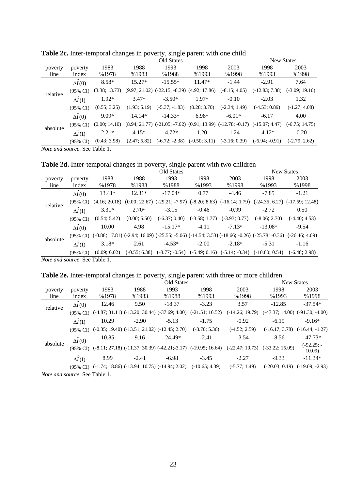|          |                     |               |              | New States                                        |              |                                                                                      |                  |                  |
|----------|---------------------|---------------|--------------|---------------------------------------------------|--------------|--------------------------------------------------------------------------------------|------------------|------------------|
| poverty  | poverty             | 1983          | 1988         | 1993                                              | 1998         | 2003                                                                                 | 1998             | 2003             |
| line     | index               | %1978         | %1983        | %1988                                             | %1993        | %1998                                                                                | %1993            | %1998            |
|          | $\Delta I(0)$       | $8.58*$       | $15.27*$     | $-15.55*$                                         | $11.47*$     | $-1.44$                                                                              | $-2.91$          | 7.64             |
| relative | $(95\% \text{ CI})$ | (3.38; 13.73) |              | $(9.97; 21.02)$ $(-22.15; -8.39)$ $(4.92; 17.86)$ |              | $(-8.15; 4.05)$                                                                      | $(-12.83; 7.38)$ | $(-3.09; 19.10)$ |
|          | $\Delta I(1)$       | $1.92*$       | $3.47*$      | $-3.50*$                                          | $1.97*$      | $-0.10$                                                                              | $-2.03$          | 1.32             |
|          | $(95\% \text{ CI})$ | (0.55; 3.25)  | (1.93; 5.19) | $(-5.37; -1.83)$                                  | (0.28; 3.70) | $(-2.34; 1.49)$                                                                      | $(-4.53; 0.89)$  | $(-1.27; 4.08)$  |
|          | $\Delta \hat{I}(0)$ | $9.09*$       | $14.14*$     | $-14.33*$                                         | $6.98*$      | $-6.01*$                                                                             | $-6.17$          | 4.00             |
| absolute | $(95\% \text{ CI})$ | (0.00; 14.10) |              |                                                   |              | $(8.94; 21.77)$ $(-21.05; -7.62)$ $(0.91; 13.99)$ $(-12.78; -0.17)$ $(-15.07; 4.47)$ |                  | $(-6.75; 14.75)$ |
|          | $\Delta I(1)$       | $2.21*$       | $4.15*$      | $-4.72*$                                          | 1.20         | $-1.24$                                                                              | $-4.12*$         | $-0.20$          |
|          | $(95\% \text{ CI})$ | (0.43; 3.98)  | (2.47; 5.82) | $(-6.72; -2.38)$ $(-0.50; 3.11)$                  |              | $(-3.16; 0.39)$                                                                      | $(-6.94; -0.91)$ | $(-2.79; 2.62)$  |

Table 2c. Inter-temporal changes in poverty, single parent with one child

*Note and source*. See Table 1.

Table 2d. Inter-temporal changes in poverty, single parent with two children

|          |                     |               |              | Old States                                                                                                           |                 |                 |                 | <b>New States</b>                                                                                     |
|----------|---------------------|---------------|--------------|----------------------------------------------------------------------------------------------------------------------|-----------------|-----------------|-----------------|-------------------------------------------------------------------------------------------------------|
| poverty  | poverty             | 1983          | 1988         | 1993                                                                                                                 | 1998            | 2003            | 1998            | 2003                                                                                                  |
| line     | index               | %1978         | %1983        | %1988                                                                                                                | %1993           | %1998           | %1993           | %1998                                                                                                 |
|          | $\Delta I(0)$       | $13.41*$      | $12.31*$     | $-17.04*$                                                                                                            | 0.77            | $-4.46$         | $-7.85$         | $-1.21$                                                                                               |
| relative | $(95\% \text{ CI})$ | (4.16; 20.18) |              |                                                                                                                      |                 |                 |                 | $(0.00; 22.67)$ $(-29.21; -7.97)$ $(-8.20; 8.63)$ $(-16.14; 1.79)$ $(-24.35; 6.27)$ $(-17.59; 12.48)$ |
|          | $\Delta I(1)$       | $3.31*$       | $2.70*$      | $-3.15$                                                                                                              | $-0.46$         | $-0.99$         | $-2.72$         | 0.50                                                                                                  |
|          | $(95\% \text{ CI})$ | (0.54; 5.42)  | (0.00; 5.50) | $(-6.37; 0.40)$                                                                                                      | $(-3.58; 1.77)$ | $(-3.93; 0.77)$ | $(-8.06; 2.70)$ | $(-4.40; 4.53)$                                                                                       |
|          | $\Delta \hat{I}(0)$ | 10.00         | 4.98         | $-15.17*$                                                                                                            | $-4.11$         | $-7.13*$        | $-13.08*$       | $-9.54$                                                                                               |
| absolute |                     |               |              | (95% CI) (-0.88; 17.81) (-2.94; 16.09) (-25.55; -5.06) (-14.54; 3.53) (-18.66; -0.26) (-25.78; -0.36) (-26.46; 4.09) |                 |                 |                 |                                                                                                       |
|          | $\Delta I(1)$       | $3.18*$       | 2.61         | $-4.53*$                                                                                                             | $-2.00$         | $-2.18*$        | $-5.31$         | $-1.16$                                                                                               |
|          | $(95\% \text{ CI})$ | (0.09; 6.02)  |              | $(-0.55; 6.38)$ $(-8.77; -0.54)$ $(-5.49; 0.16)$ $(-5.14; -0.34)$ $(-10.80; 0.54)$                                   |                 |                 |                 | $(-6.48; 2.98)$                                                                                       |
|          |                     |               |              |                                                                                                                      |                 |                 |                 |                                                                                                       |

*Note and source*. See Table 1.

Table 2e. Inter-temporal changes in poverty, single parent with three or more children

|          |                          |       |                                                                         | <b>New States</b> |                                                                                           |                                                                                                        |                  |                                     |
|----------|--------------------------|-------|-------------------------------------------------------------------------|-------------------|-------------------------------------------------------------------------------------------|--------------------------------------------------------------------------------------------------------|------------------|-------------------------------------|
| poverty  | poverty                  | 1983  | 1988                                                                    | 1993              | 1998                                                                                      | 2003                                                                                                   | 1998             | 2003                                |
| line     | index                    | %1978 | %1983                                                                   | %1988             | %1993                                                                                     | %1998                                                                                                  | %1993            | %1998                               |
| relative | $\Delta I(0)$            | 12.46 | 9.50                                                                    | $-18.37$          | $-3.23$                                                                                   | 3.57                                                                                                   | $-12.85$         | $-37.54*$                           |
|          |                          |       |                                                                         |                   | $(95\% \text{ CI})$ $(-4.87; 31.11)$ $(-13.20; 30.44)$ $(-37.69; 4.00)$ $(-21.51; 16.52)$ | $(-14.26; 19.79)$                                                                                      |                  | $(-47.37; 14.00)$ $(-91.30; -4.00)$ |
|          | $\Delta I(1)$            | 10.29 | $-2.90$                                                                 | $-5.13$           | $-1.75$                                                                                   | $-0.92$                                                                                                | $-6.19$          | $-9.16*$                            |
|          | $(95\% \text{ CI})$      |       | $(-0.35; 19.40)$ $(-13.51; 21.02)$ $(-12.45; 2.70)$                     |                   | $(-8.70; 5.36)$                                                                           | $(-4.52; 2.59)$                                                                                        | $(-16.17; 3.78)$ | $(-16.44; -1.27)$                   |
|          | $\overline{\Delta I}(0)$ | 10.85 | 9.16                                                                    | $-24.49*$         | $-2.41$                                                                                   | $-3.54$                                                                                                | $-8.56$          | $-47.73*$                           |
| absolute |                          |       |                                                                         |                   |                                                                                           | (95% CI) (-8.11; 27.18) (-11.37; 30.39) (-42.21;-3.17) (-19.95; 16.64) (-22.47; 10.73) (-33.22; 15.09) |                  | $(-92.25; -$<br>10.09               |
|          | $\Delta I(1)$            | 8.99  | $-2.41$                                                                 | $-6.98$           | $-3.45$                                                                                   | $-2.27$                                                                                                | $-9.33$          | $-11.34*$                           |
|          |                          |       | $(95\% \text{ CI})$ $(-1.74; 18.86)$ $(-13.94; 10.75)$ $(-14.94; 2.02)$ |                   | $(-10.65; 4.39)$                                                                          | $(-5.77; 1.49)$                                                                                        |                  | $(-20.03; 0.19)$ $(-19.09; -2.93)$  |

*Note and source*. See Table 1.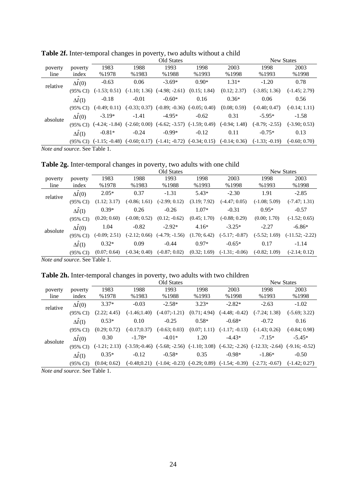|          |                     |                                                                                   |                 | <b>New States</b>                                |              |                 |                  |                 |
|----------|---------------------|-----------------------------------------------------------------------------------|-----------------|--------------------------------------------------|--------------|-----------------|------------------|-----------------|
| poverty  | poverty             | 1983                                                                              | 1988            | 1993                                             | 1998         | 2003            | 1998             | 2003            |
| line     | index               | %1978                                                                             | %1983           | %1988                                            | %1993        | %1998           | %1993            | %1998           |
| relative | $\Delta I(0)$       | $-0.63$                                                                           | 0.06            | $-3.69*$                                         | $0.90*$      | $1.31*$         | $-1.20$          | 0.78            |
|          | $(95\% \text{ CI})$ | $(-1.53; 0.51)$                                                                   | $(-1.10; 1.36)$ | $(-4.98; -2.61)$                                 | (0.15; 1.84) | (0.12; 2.37)    | $(-3.85; 1.36)$  | $(-1.45; 2.79)$ |
|          | $\Delta \hat{I}(1)$ | $-0.18$                                                                           | $-0.01$         | $-0.60*$                                         | 0.16         | $0.36*$         | 0.06             | 0.56            |
|          | $(95\% \text{ CI})$ | $(-0.49; 0.11)$                                                                   |                 | $(-0.33; 0.37)$ $(-0.89; -0.36)$ $(-0.05; 0.40)$ |              | (0.08; 0.59)    | $(-0.40; 0.47)$  | $(-0.14; 1.11)$ |
| absolute | $\Delta \hat{I}(0)$ | $-3.19*$                                                                          | $-1.41$         | $-4.95*$                                         | $-0.62$      | 0.31            | $-5.95*$         | $-1.58$         |
|          | $(95\% \text{ CI})$ | $(-4.24; -1.84)$                                                                  | $(-2.60; 0.00)$ | $(-6.62; -3.57)$ $(-1.59; 0.49)$                 |              | $(-0.94; 1.48)$ | $(-8.79; -2.55)$ | $(-3.90; 0.53)$ |
|          | $\Delta I(1)$       | $-0.81*$                                                                          | $-0.24$         | $-0.99*$                                         | $-0.12$      | 0.11            | $-0.75*$         | 0.13            |
|          | $(95\% \text{ CI})$ | $(-1.15; -0.48)$ $(-0.60; 0.17)$ $(-1.41; -0.72)$ $(-0.34; 0.15)$ $(-0.14; 0.36)$ |                 |                                                  |              |                 | $(-1.33; -0.19)$ | $(-0.60; 0.70)$ |
|          |                     |                                                                                   |                 |                                                  |              |                 |                  |                 |

Table 2f. Inter-temporal changes in poverty, two adults without a child

*Note and source*. See Table 1.

|  |  | <b>Table 2g.</b> Inter-temporal changes in poverty, two adults with one child |  |  |  |  |  |  |  |
|--|--|-------------------------------------------------------------------------------|--|--|--|--|--|--|--|
|--|--|-------------------------------------------------------------------------------|--|--|--|--|--|--|--|

| Table 2g. Inter-temporal changes in poverty, two adults with one child |                      |                 |                 |                  |              |                  |                 |                   |  |
|------------------------------------------------------------------------|----------------------|-----------------|-----------------|------------------|--------------|------------------|-----------------|-------------------|--|
|                                                                        | Old States           |                 |                 |                  |              |                  |                 |                   |  |
| poverty                                                                | poverty              | 1983            | 1988            | 1993             | 1998         | 2003             | 1998            | 2003              |  |
| line                                                                   | index                | %1978           | %1983           | %1988            | %1993        | %1998            | %1993           | %1998             |  |
| relative                                                               | $\Delta I(0)$        | $2.05*$         | 0.37            | $-1.31$          | $5.43*$      | $-2.30$          | 1.91            | $-2.85$           |  |
|                                                                        | $(95\% \text{ CI})$  | (1.12; 3.17)    | $(-0.86; 1.61)$ | $(-2.99; 0.12)$  | (3.19; 7.92) | $(-4.47; 0.05)$  | $(-1.08; 5.09)$ | $(-7.47; 1.31)$   |  |
|                                                                        | $\Delta \hat{I}(1)$  | $0.39*$         | 0.26            | $-0.26$          | $1.07*$      | $-0.31$          | $0.95*$         | $-0.57$           |  |
|                                                                        | $(95\% \text{ CI})$  | (0.20; 0.60)    | $(-0.08; 0.52)$ | $(0.12; -0.62)$  | (0.45; 1.70) | $(-0.88; 0.29)$  | (0.00; 1.70)    | $(-1.52; 0.65)$   |  |
| absolute                                                               | $\Delta \hat{I}(0)$  | 1.04            | $-0.82$         | $-2.92*$         | $4.16*$      | $-3.25*$         | $-2.27$         | $-6.86*$          |  |
|                                                                        | $(95\% \text{ CI})$  | $(-0.09; 2.51)$ | $(-2.12; 0.66)$ | $(-4.79; -1.56)$ | (1.70; 6.42) | $(-5.17; -0.87)$ | $(-5.52; 1.69)$ | $(-11.52; -2.22)$ |  |
|                                                                        | $\Delta \hat{I}$ (1) | $0.32*$         | 0.09            | $-0.44$          | $0.97*$      | $-0.65*$         | 0.17            | $-1.14$           |  |
|                                                                        | $(95\% \text{ CI})$  | (0.07; 0.64)    | $(-0.34; 0.40)$ | $(-0.87; 0.02)$  | (0.32; 1.69) | $(-1.31; -0.06)$ | $(-0.82; 1.09)$ | $(-2.14; 0.12)$   |  |

*Note and source*. See Table 1.

## Table 2h. Inter-temporal changes in poverty, two adults with two children

|          |                     | Old States      |                  |                  |              |                                                   | <b>New States</b>                                                   |                  |
|----------|---------------------|-----------------|------------------|------------------|--------------|---------------------------------------------------|---------------------------------------------------------------------|------------------|
| poverty  | poverty             | 1983            | 1988             | 1993             | 1998         | 2003                                              | 1998                                                                | 2003             |
| line     | index               | %1978           | %1983            | %1988            | %1993        | %1998                                             | %1993                                                               | %1998            |
| relative | $\Delta I(0)$       | $3.37*$         | $-0.03$          | $-2.58*$         | $3.23*$      | $-2.82*$                                          | $-2.63$                                                             | $-1.02$          |
|          | $(95\% \text{ CI})$ | (2.22; 4.45)    | $(-1.46;1.40)$   | $(-4.07; -1.21)$ | (0.71; 4.94) | $(-4.48; -0.42)$                                  | $(-7.24; 1.38)$                                                     | $(-5.69; 3.22)$  |
|          | $\Delta \hat{I}(1)$ | $0.53*$         | 0.10             | $-0.25$          | $0.58*$      | $-0.68*$                                          | $-0.72$                                                             | 0.16             |
|          | $(95\% \text{ CI})$ | (0.29; 0.72)    | $(-0.17;0.37)$   | $(-0.63; 0.03)$  | (0.07; 1.11) | $(-1.17; -0.13)$                                  | $(-1.43; 0.26)$                                                     | $(-0.84; 0.98)$  |
| absolute | $\Delta I(0)$       | 0.30            | $-1.78*$         | $-4.01*$         | 1.20         | $-4.43*$                                          | $-7.15*$                                                            | $-5.45*$         |
|          | $(95\% \text{ CI})$ | $(-1.21; 2.13)$ | $(-3.59; -0.46)$ |                  |              |                                                   | $(-5.68; -2.56)$ $(-1.10; 3.08)$ $(-6.32; -2.26)$ $(-12.33; -2.64)$ | $(-9.16; -0.52)$ |
|          | $\Delta \hat{I}(1)$ | $0.35*$         | $-0.12$          | $-0.58*$         | 0.35         | $-0.98*$                                          | $-1.86*$                                                            | $-0.50$          |
|          | $(95\% \text{ CI})$ | (0.04; 0.62)    | $(-0.48; 0.21)$  |                  |              | $(-1.04; -0.23)$ $(-0.29; 0.89)$ $(-1.54; -0.39)$ | $(-2.73; -0.67)$                                                    | $(-1.42; 0.27)$  |
|          |                     |                 |                  |                  |              |                                                   |                                                                     |                  |

*Note and source*. See Table 1.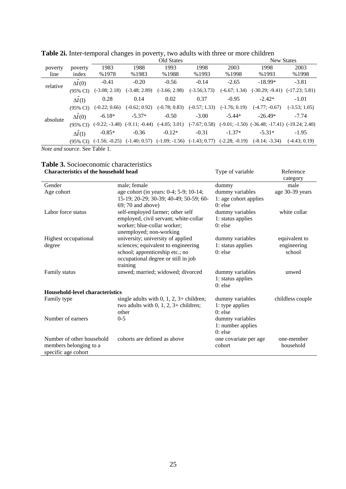|          |                     | Old States                        |                 |                 |                 |                 | <b>New States</b>                                                                                   |                  |  |  |
|----------|---------------------|-----------------------------------|-----------------|-----------------|-----------------|-----------------|-----------------------------------------------------------------------------------------------------|------------------|--|--|
| poverty  | poverty             | 1983                              | 1988            | 1993            | 1998            | 2003            | 1998                                                                                                | 2003             |  |  |
| line     | index               | %1978                             | %1983           | %1988           | %1993           | %1998           | %1993                                                                                               | %1998            |  |  |
| relative | $\Delta I(0)$       | $-0.41$                           | $-0.20$         | $-0.56$         | $-0.14$         | $-2.65$         | $-18.99*$                                                                                           | $-3.81$          |  |  |
|          | $(95\% \text{ CI})$ | $(-3.08; 2.18)$                   | $(-3.48; 2.89)$ | $(-3.66; 2.98)$ | $(-3.56; 3.73)$ | $(-6.67; 1.34)$ | $(-30.29; -9.41)$                                                                                   | $(-17.23; 5.81)$ |  |  |
|          | $\Delta \hat{I}(1)$ | 0.28                              | 0.14            | 0.02            | 0.37            | $-0.95$         | $-2.42*$                                                                                            | $-1.01$          |  |  |
|          | $(95\% \text{ CI})$ | $(-0.22; 0.66)$                   | $(-0.62; 0.92)$ | $(-0.78; 0.83)$ | $(-0.57; 1.33)$ | $(-1.76; 0.19)$ | $(-4.77; -0.67)$                                                                                    | $(-3.53; 1.05)$  |  |  |
| absolute | $\Delta \hat{I}(0)$ | $-6.18*$                          | $-5.37*$        | $-0.50$         | $-3.00$         | $-5.44*$        | $-26.49*$                                                                                           | $-7.74$          |  |  |
|          | $(95\% \text{ CI})$ | $(-9.22; -3.48)$ $(-9.11; -0.44)$ |                 | $(-4.05; 3.01)$ |                 |                 | $(-7.67; 0.58)$ $(-9.01; -1.50)$ $(-36.48; -17.41)$ $(-19.24; 2.40)$                                |                  |  |  |
|          | $\Delta I(1)$       | $-0.85*$                          | $-0.36$         | $-0.12*$        | $-0.31$         | $-1.37*$        | $-5.31*$                                                                                            | $-1.95$          |  |  |
|          | (95% CI)            |                                   |                 |                 |                 |                 | $(-1.56; -0.25)$ $(-1.40; 0.57)$ $(-1.09; -1.56)$ $(-1.43; 0.77)$ $(-2.28; -0.19)$ $(-8.14; -3.34)$ | $(-4.43; 0.19)$  |  |  |

| Table 2i. Inter-temporal changes in poverty, two adults with three or more children |            |
|-------------------------------------------------------------------------------------|------------|
| Old States                                                                          | New States |

*Note and source*. See Table 1.

#### **Table 3.** Socioeconomic characteristics **Characteristics of the household head** Type of variable Reference

|                                 |                                          |                       | category         |
|---------------------------------|------------------------------------------|-----------------------|------------------|
| Gender                          | male; female                             | dummy                 | male             |
| Age cohort                      | age cohort (in years: 0-4; 5-9; 10-14;   | dummy variables       | age 30-39 years  |
|                                 | 15-19; 20-29; 30-39; 40-49; 50-59; 60-   | 1: age cohort applies |                  |
|                                 | 69; 70 and above)                        | $0:$ else             |                  |
| Labor force status              | self-employed farmer; other self         | dummy variables       | white collar     |
|                                 | employed, civil servant; white-collar    | 1: status applies     |                  |
|                                 | worker; blue-collar worker;              | $0$ : else            |                  |
|                                 | unemployed; non-working                  |                       |                  |
| Highest occupational            | university; university of applied        | dummy variables       | equivalent to    |
| degree                          | sciences; equivalent to engineering      | 1: status applies     | engineering      |
|                                 | school; apprenticeship etc.; no          | $0:$ else             | school           |
|                                 | occupational degree or still in job      |                       |                  |
|                                 | training                                 |                       |                  |
| Family status                   | unwed; married; widowed; divorced        | dummy variables       | unwed            |
|                                 |                                          | 1: status applies     |                  |
|                                 |                                          | $0$ : else            |                  |
| Household-level characteristics |                                          |                       |                  |
| Family type                     | single adults with 0, 1, 2, 3+ children; | dummy variables       | childless couple |
|                                 | two adults with $0, 1, 2, 3+$ children;  | 1: type applies       |                  |
|                                 | other                                    | $0:$ else             |                  |
| Number of earners               | $0 - 5$                                  | dummy variables       |                  |
|                                 |                                          | 1: number applies     |                  |
|                                 |                                          | $0$ : else            |                  |
| Number of other household       | cohorts are defined as above             | one covariate per age | one-member       |
| members belonging to a          |                                          | cohort                | household        |
| specific age cohort             |                                          |                       |                  |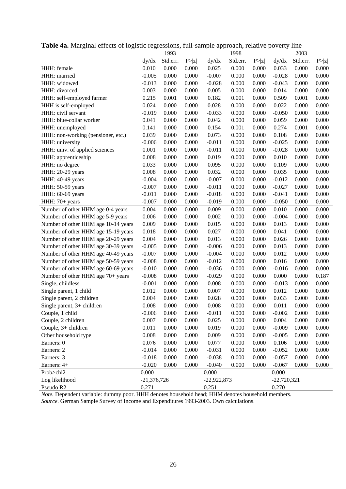|                                     |               | 1993     |        |               | 1998     |       |               | 2003      |        |
|-------------------------------------|---------------|----------|--------|---------------|----------|-------|---------------|-----------|--------|
|                                     | dy/dx         | Std.err. | P >  z | dy/dx         | Std.err. | P> z  | dy/dx         | Std.err.  | P >  z |
| HHH: female                         | 0.010         | 0.000    | 0.000  | 0.025         | 0.000    | 0.000 | 0.033         | 0.000     | 0.000  |
| HHH: married                        | $-0.005$      | 0.000    | 0.000  | $-0.007$      | 0.000    | 0.000 | $-0.028$      | 0.000     | 0.000  |
| HHH: widowed                        | $-0.013$      | 0.000    | 0.000  | $-0.028$      | 0.000    | 0.000 | $-0.043$      | 0.000     | 0.000  |
| HHH: divorced                       | 0.003         | 0.000    | 0.000  | 0.005         | 0.000    | 0.000 | 0.014         | 0.000     | 0.000  |
| HHH: self-employed farmer           | 0.215         | 0.001    | 0.000  | 0.182         | 0.001    | 0.000 | 0.509         | 0.001     | 0.000  |
| HHH is self-employed                | 0.024         | 0.000    | 0.000  | 0.028         | 0.000    | 0.000 | 0.022         | 0.000     | 0.000  |
| HHH: civil servant                  | $-0.019$      | 0.000    | 0.000  | $-0.033$      | 0.000    | 0.000 | $-0.050$      | 0.000     | 0.000  |
| HHH: blue-collar worker             | 0.041         | 0.000    | 0.000  | 0.042         | 0.000    | 0.000 | 0.059         | 0.000     | 0.000  |
| HHH: unemployed                     | 0.141         | 0.000    | 0.000  | 0.154         | 0.001    | 0.000 | 0.274         | 0.001     | 0.000  |
| HHH: non-working (pensioner, etc.)  | 0.039         | 0.000    | 0.000  | 0.073         | 0.000    | 0.000 | 0.108         | 0.000     | 0.000  |
| HHH: university                     | $-0.006$      | 0.000    | 0.000  | $-0.011$      | 0.000    | 0.000 | $-0.025$      | 0.000     | 0.000  |
| HHH: univ. of applied sciences      | 0.001         | 0.000    | 0.000  | $-0.011$      | 0.000    | 0.000 | $-0.028$      | 0.000     | 0.000  |
| HHH: apprenticeship                 | 0.008         | 0.000    | 0.000  | 0.019         | 0.000    | 0.000 | 0.010         | 0.000     | 0.000  |
| HHH: no degree                      | 0.033         | 0.000    | 0.000  | 0.095         | 0.000    | 0.000 | 0.109         | 0.000     | 0.000  |
| HHH: 20-29 years                    | 0.008         | 0.000    | 0.000  | 0.032         | 0.000    | 0.000 | 0.035         | 0.000     | 0.000  |
| HHH: 40-49 years                    | $-0.004$      | 0.000    | 0.000  | $-0.007$      | 0.000    | 0.000 | $-0.012$      | 0.000     | 0.000  |
| HHH: 50-59 years                    | $-0.007$      | 0.000    | 0.000  | $-0.011$      | 0.000    | 0.000 | $-0.027$      | 0.000     | 0.000  |
| HHH: 60-69 years                    | $-0.011$      | 0.000    | 0.000  | $-0.018$      | 0.000    | 0.000 | $-0.041$      | 0.000     | 0.000  |
| HHH: 70+ years                      | $-0.007$      | 0.000    | 0.000  | $-0.019$      | 0.000    | 0.000 | $-0.050$      | 0.000     | 0.000  |
| Number of other HHM age 0-4 years   | 0.004         | 0.000    | 0.000  | 0.009         | 0.000    | 0.000 | 0.010         | 0.000     | 0.000  |
| Number of other HHM age 5-9 years   | 0.006         | 0.000    | 0.000  | 0.002         | 0.000    | 0.000 | $-0.004$      | 0.000     | 0.000  |
| Number of other HHM age 10-14 years | 0.009         | 0.000    | 0.000  | 0.015         | 0.000    | 0.000 | 0.013         | 0.000     | 0.000  |
| Number of other HHM age 15-19 years | 0.018         | 0.000    | 0.000  | 0.027         | 0.000    | 0.000 | 0.041         | 0.000     | 0.000  |
| Number of other HHM age 20-29 years | 0.004         | 0.000    | 0.000  | 0.013         | 0.000    | 0.000 | 0.026         | 0.000     | 0.000  |
| Number of other HHM age 30-39 years | $-0.005$      | 0.000    | 0.000  | $-0.006$      | 0.000    | 0.000 | 0.013         | 0.000     | 0.000  |
| Number of other HHM age 40-49 years | $-0.007$      | 0.000    | 0.000  | $-0.004$      | 0.000    | 0.000 | 0.012         | 0.000     | 0.000  |
| Number of other HHM age 50-59 years | $-0.008$      | 0.000    | 0.000  | $-0.012$      | 0.000    | 0.000 | 0.016         | 0.000     | 0.000  |
| Number of other HHM age 60-69 years | $-0.010$      | 0.000    | 0.000  | $-0.036$      | 0.000    | 0.000 | $-0.016$      | 0.000     | 0.000  |
| Number of other HHM age 70+ years   | $-0.008$      | 0.000    | 0.000  | $-0.029$      | 0.000    | 0.000 | 0.000         | 0.000     | 0.187  |
| Single, childless                   | $-0.001$      | 0.000    | 0.000  | 0.008         | 0.000    | 0.000 | $-0.013$      | 0.000     | 0.000  |
| Single parent, 1 child              | 0.012         | 0.000    | 0.000  | 0.007         | 0.000    | 0.000 | 0.012         | 0.000     | 0.000  |
| Single parent, 2 children           | 0.004         | 0.000    | 0.000  | 0.028         | 0.000    | 0.000 | 0.033         | 0.000     | 0.000  |
| Single parent, $3+$ children        | 0.008         | 0.000    | 0.000  | 0.008         | 0.000    | 0.000 | 0.011         | 0.000     | 0.000  |
| Couple, 1 child                     | $-0.006$      | 0.000    | 0.000  | $-0.011$      | 0.000    | 0.000 | $-0.002$      | 0.000     | 0.000  |
| Couple, 2 children                  | 0.007         | 0.000    | 0.000  | 0.025         | 0.000    | 0.000 | 0.004         | 0.000     | 0.000  |
| Couple, 3+ children                 | 0.011         | 0.000    | 0.000  | 0.019         | 0.000    | 0.000 | $-0.009$      | 0.000     | 0.000  |
| Other household type                | 0.008         | 0.000    | 0.000  | 0.009         | 0.000    | 0.000 | $-0.005$      | 0.000     | 0.000  |
| Earners: 0                          | 0.076         | 0.000    | 0.000  | 0.077         | 0.000    | 0.000 | 0.106         | 0.000     | 0.000  |
| Earners: 2                          | $-0.014$      | 0.000    | 0.000  | $-0.031$      | 0.000    | 0.000 | $-0.052$      | 0.000     | 0.000  |
| Earners: 3                          | $-0.018$      | 0.000    | 0.000  | $-0.038$      | 0.000    | 0.000 | $-0.057$      | $0.000\,$ | 0.000  |
| Earners: 4+                         | $-0.020$      | 0.000    | 0.000  | $-0.040$      | 0.000    | 0.000 | $-0.067$      | 0.000     | 0.000  |
| Prob>chi2                           | 0.000         |          |        | 0.000         |          |       | 0.000         |           |        |
| Log likelihood                      | $-21,376,726$ |          |        | $-22,922,873$ |          |       | $-22,720,321$ |           |        |
| Pseudo R2                           | 0.271         |          |        | 0.251         |          |       | 0.270         |           |        |

**Table 4a.** Marginal effects of logistic regressions, full-sample approach, relative poverty line

*Note.* Dependent variable: dummy poor. HHH denotes household head; HHM denotes household members.

*Source*. German Sample Survey of Income and Expenditures 1993-2003. Own calculations.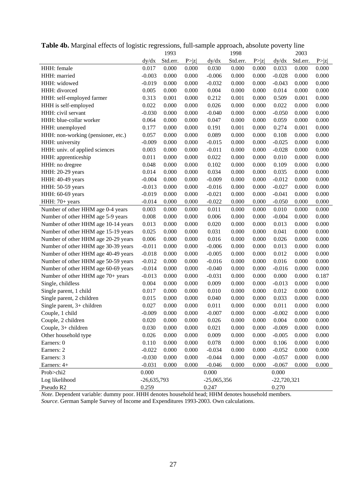|                                     |               | 1993     |        |               | 1998     |       |               | 2003     |        |
|-------------------------------------|---------------|----------|--------|---------------|----------|-------|---------------|----------|--------|
|                                     | dy/dx         | Std.err. | P >  z | dy/dx         | Std.err. | P> z  | dy/dx         | Std.err. | P >  z |
| HHH: female                         | 0.017         | 0.000    | 0.000  | 0.030         | 0.000    | 0.000 | 0.033         | 0.000    | 0.000  |
| HHH: married                        | $-0.003$      | 0.000    | 0.000  | $-0.006$      | 0.000    | 0.000 | $-0.028$      | 0.000    | 0.000  |
| HHH: widowed                        | $-0.019$      | 0.000    | 0.000  | $-0.032$      | 0.000    | 0.000 | $-0.043$      | 0.000    | 0.000  |
| HHH: divorced                       | 0.005         | 0.000    | 0.000  | 0.004         | 0.000    | 0.000 | 0.014         | 0.000    | 0.000  |
| HHH: self-employed farmer           | 0.313         | 0.001    | 0.000  | 0.212         | 0.001    | 0.000 | 0.509         | 0.001    | 0.000  |
| HHH is self-employed                | 0.022         | 0.000    | 0.000  | 0.026         | 0.000    | 0.000 | 0.022         | 0.000    | 0.000  |
| HHH: civil servant                  | $-0.030$      | 0.000    | 0.000  | $-0.040$      | 0.000    | 0.000 | $-0.050$      | 0.000    | 0.000  |
| HHH: blue-collar worker             | 0.064         | 0.000    | 0.000  | 0.047         | 0.000    | 0.000 | 0.059         | 0.000    | 0.000  |
| HHH: unemployed                     | 0.177         | 0.000    | 0.000  | 0.191         | 0.001    | 0.000 | 0.274         | 0.001    | 0.000  |
| HHH: non-working (pensioner, etc.)  | 0.057         | 0.000    | 0.000  | 0.089         | 0.000    | 0.000 | 0.108         | 0.000    | 0.000  |
| HHH: university                     | $-0.009$      | 0.000    | 0.000  | $-0.015$      | 0.000    | 0.000 | $-0.025$      | 0.000    | 0.000  |
| HHH: univ. of applied sciences      | 0.003         | 0.000    | 0.000  | $-0.011$      | 0.000    | 0.000 | $-0.028$      | 0.000    | 0.000  |
| HHH: apprenticeship                 | 0.011         | 0.000    | 0.000  | 0.022         | 0.000    | 0.000 | 0.010         | 0.000    | 0.000  |
| HHH: no dregree                     | 0.048         | 0.000    | 0.000  | 0.102         | 0.000    | 0.000 | 0.109         | 0.000    | 0.000  |
| HHH: 20-29 years                    | 0.014         | 0.000    | 0.000  | 0.034         | 0.000    | 0.000 | 0.035         | 0.000    | 0.000  |
| HHH: 40-49 years                    | $-0.004$      | 0.000    | 0.000  | $-0.009$      | 0.000    | 0.000 | $-0.012$      | 0.000    | 0.000  |
| HHH: 50-59 years                    | $-0.013$      | 0.000    | 0.000  | $-0.016$      | 0.000    | 0.000 | $-0.027$      | 0.000    | 0.000  |
| HHH: 60-69 years                    | $-0.019$      | 0.000    | 0.000  | $-0.021$      | 0.000    | 0.000 | $-0.041$      | 0.000    | 0.000  |
| HHH: 70+ years                      | $-0.014$      | 0.000    | 0.000  | $-0.022$      | 0.000    | 0.000 | $-0.050$      | 0.000    | 0.000  |
| Number of other HHM age 0-4 years   | 0.003         | 0.000    | 0.000  | 0.011         | 0.000    | 0.000 | 0.010         | 0.000    | 0.000  |
| Number of other HHM age 5-9 years   | 0.008         | 0.000    | 0.000  | 0.006         | 0.000    | 0.000 | $-0.004$      | 0.000    | 0.000  |
| Number of other HHM age 10-14 years | 0.013         | 0.000    | 0.000  | 0.020         | 0.000    | 0.000 | 0.013         | 0.000    | 0.000  |
| Number of other HHM age 15-19 years | 0.025         | 0.000    | 0.000  | 0.031         | 0.000    | 0.000 | 0.041         | 0.000    | 0.000  |
| Number of other HHM age 20-29 years | 0.006         | 0.000    | 0.000  | 0.016         | 0.000    | 0.000 | 0.026         | 0.000    | 0.000  |
| Number of other HHM age 30-39 years | $-0.011$      | 0.000    | 0.000  | $-0.006$      | 0.000    | 0.000 | 0.013         | 0.000    | 0.000  |
| Number of other HHM age 40-49 years | $-0.018$      | 0.000    | 0.000  | $-0.005$      | 0.000    | 0.000 | 0.012         | 0.000    | 0.000  |
| Number of other HHM age 50-59 years | $-0.012$      | 0.000    | 0.000  | $-0.016$      | 0.000    | 0.000 | 0.016         | 0.000    | 0.000  |
| Number of other HHM age 60-69 years | $-0.014$      | 0.000    | 0.000  | $-0.040$      | 0.000    | 0.000 | $-0.016$      | 0.000    | 0.000  |
| Number of other HHM age 70+ years   | $-0.013$      | 0.000    | 0.000  | $-0.031$      | 0.000    | 0.000 | 0.000         | 0.000    | 0.187  |
| Single, childless                   | 0.004         | 0.000    | 0.000  | 0.009         | 0.000    | 0.000 | $-0.013$      | 0.000    | 0.000  |
| Single parent, 1 child              | 0.017         | 0.000    | 0.000  | 0.010         | 0.000    | 0.000 | 0.012         | 0.000    | 0.000  |
| Single parent, 2 children           | 0.015         | 0.000    | 0.000  | 0.040         | 0.000    | 0.000 | 0.033         | 0.000    | 0.000  |
| Single parent, $3+$ children        | 0.027         | 0.000    | 0.000  | 0.011         | 0.000    | 0.000 | 0.011         | 0.000    | 0.000  |
| Couple, 1 child                     | $-0.009$      | 0.000    | 0.000  | $-0.007$      | 0.000    | 0.000 | $-0.002$      | 0.000    | 0.000  |
| Couple, 2 children                  | 0.020         | 0.000    | 0.000  | 0.026         | 0.000    | 0.000 | 0.004         | 0.000    | 0.000  |
| Couple, 3+ children                 | 0.030         | 0.000    | 0.000  | 0.021         | 0.000    | 0.000 | $-0.009$      | 0.000    | 0.000  |
| Other household type                | 0.026         | 0.000    | 0.000  | 0.009         | 0.000    | 0.000 | $-0.005$      | 0.000    | 0.000  |
| Earners: 0                          | 0.110         | 0.000    | 0.000  | 0.078         | 0.000    | 0.000 | 0.106         | 0.000    | 0.000  |
| Earners: 2                          | $-0.022$      | 0.000    | 0.000  | $-0.034$      | 0.000    | 0.000 | $-0.052$      | 0.000    | 0.000  |
| Earners: 3                          | $-0.030$      | 0.000    | 0.000  | $-0.044$      | 0.000    | 0.000 | $-0.057$      | 0.000    | 0.000  |
| Earners: 4+                         | $-0.031$      | 0.000    | 0.000  | $-0.046$      | 0.000    | 0.000 | $-0.067$      | 0.000    | 0.000  |
| Prob>chi2                           | 0.000         |          |        | 0.000         |          |       | 0.000         |          |        |
| Log likelihood                      | $-26,635,793$ |          |        | $-25,065,356$ |          |       | $-22,720,321$ |          |        |
| Pseudo R2                           | 0.259         |          |        | 0.247         |          |       | 0.270         |          |        |
|                                     |               |          |        |               |          |       |               |          |        |

**Table 4b.** Marginal effects of logistic regressions, full-sample approach, absolute poverty line

*Note.* Dependent variable: dummy poor. HHH denotes household head; HHM denotes household members.

*Source*. German Sample Survey of Income and Expenditures 1993-2003. Own calculations.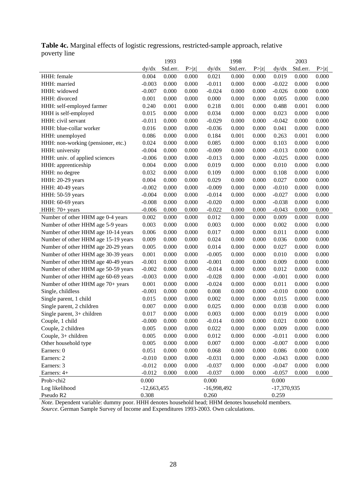## **Table 4c.** Marginal effects of logistic regressions, restricted-sample approach, relative poverty line

|                                     |               | 1993     |       |               | 1998     |        |               | 2003     |        |
|-------------------------------------|---------------|----------|-------|---------------|----------|--------|---------------|----------|--------|
|                                     | dy/dx         | Std.err. | P> z  | dy/dx         | Std.err. | P >  z | dy/dx         | Std.err. | P >  z |
| HHH: female                         | 0.004         | 0.000    | 0.000 | 0.021         | 0.000    | 0.000  | 0.019         | 0.000    | 0.000  |
| HHH: married                        | $-0.003$      | 0.000    | 0.000 | $-0.011$      | 0.000    | 0.000  | $-0.022$      | 0.000    | 0.000  |
| HHH: widowed                        | $-0.007$      | 0.000    | 0.000 | $-0.024$      | 0.000    | 0.000  | $-0.026$      | 0.000    | 0.000  |
| HHH: divorced                       | 0.001         | 0.000    | 0.000 | 0.000         | 0.000    | 0.000  | 0.005         | 0.000    | 0.000  |
| HHH: self-employed farmer           | 0.240         | 0.001    | 0.000 | 0.218         | 0.001    | 0.000  | 0.488         | 0.001    | 0.000  |
| HHH is self-employed                | 0.015         | 0.000    | 0.000 | 0.034         | 0.000    | 0.000  | 0.023         | 0.000    | 0.000  |
| HHH: civil servant                  | $-0.011$      | 0.000    | 0.000 | $-0.029$      | 0.000    | 0.000  | $-0.042$      | 0.000    | 0.000  |
| HHH: blue-collar worker             | 0.016         | 0.000    | 0.000 | $-0.036$      | 0.000    | 0.000  | 0.041         | 0.000    | 0.000  |
| HHH: unemployed                     | 0.086         | 0.000    | 0.000 | 0.184         | 0.001    | 0.000  | 0.263         | 0.001    | 0.000  |
| HHH: non-working (pensioner, etc.)  | 0.024         | 0.000    | 0.000 | 0.085         | 0.000    | 0.000  | 0.103         | 0.000    | 0.000  |
| HHH: university                     | $-0.004$      | 0.000    | 0.000 | $-0.009$      | 0.000    | 0.000  | $-0.013$      | 0.000    | 0.000  |
| HHH: univ. of applied sciences      | $-0.006$      | 0.000    | 0.000 | $-0.013$      | 0.000    | 0.000  | $-0.025$      | 0.000    | 0.000  |
| HHH: apprenticeship                 | 0.004         | 0.000    | 0.000 | 0.019         | 0.000    | 0.000  | 0.010         | 0.000    | 0.000  |
| HHH: no degree                      | 0.032         | 0.000    | 0.000 | 0.109         | 0.000    | 0.000  | 0.108         | 0.000    | 0.000  |
| HHH: 20-29 years                    | 0.004         | 0.000    | 0.000 | 0.029         | 0.000    | 0.000  | 0.027         | 0.000    | 0.000  |
| HHH: 40-49 years                    | $-0.002$      | 0.000    | 0.000 | $-0.009$      | 0.000    | 0.000  | $-0.010$      | 0.000    | 0.000  |
| HHH: 50-59 years                    | $-0.004$      | 0.000    | 0.000 | $-0.014$      | 0.000    | 0.000  | $-0.027$      | 0.000    | 0.000  |
| HHH: 60-69 years                    | $-0.008$      | 0.000    | 0.000 | $-0.020$      | 0.000    | 0.000  | $-0.038$      | 0.000    | 0.000  |
| HHH: 70+ years                      | $-0.006$      | 0.000    | 0.000 | $-0.022$      | 0.000    | 0.000  | $-0.043$      | 0.000    | 0.000  |
| Number of other HHM age 0-4 years   | 0.002         | 0.000    | 0.000 | 0.012         | 0.000    | 0.000  | 0.009         | 0.000    | 0.000  |
| Number of other HHM age 5-9 years   | 0.003         | 0.000    | 0.000 | 0.003         | 0.000    | 0.000  | 0.002         | 0.000    | 0.000  |
| Number of other HHM age 10-14 years | 0.006         | 0.000    | 0.000 | 0.017         | 0.000    | 0.000  | 0.011         | 0.000    | 0.000  |
| Number of other HHM age 15-19 years | 0.009         | 0.000    | 0.000 | 0.024         | 0.000    | 0.000  | 0.036         | 0.000    | 0.000  |
| Number of other HHM age 20-29 years | 0.005         | 0.000    | 0.000 | 0.014         | 0.000    | 0.000  | 0.027         | 0.000    | 0.000  |
| Number of other HHM age 30-39 years | 0.001         | 0.000    | 0.000 | $-0.005$      | 0.000    | 0.000  | 0.010         | 0.000    | 0.000  |
| Number of other HHM age 40-49 years | $-0.001$      | 0.000    | 0.000 | $-0.001$      | 0.000    | 0.000  | 0.009         | 0.000    | 0.000  |
| Number of other HHM age 50-59 years | $-0.002$      | 0.000    | 0.000 | $-0.014$      | 0.000    | 0.000  | 0.012         | 0.000    | 0.000  |
| Number of other HHM age 60-69 years | $-0.003$      | 0.000    | 0.000 | $-0.028$      | 0.000    | 0.000  | $-0.001$      | 0.000    | 0.000  |
| Number of other HHM age 70+ years   | 0.001         | 0.000    | 0.000 | $-0.024$      | 0.000    | 0.000  | 0.011         | 0.000    | 0.000  |
| Single, childless                   | $-0.001$      | 0.000    | 0.000 | 0.008         | 0.000    | 0.000  | $-0.010$      | 0.000    | 0.000  |
| Single parent, 1 child              | 0.015         | 0.000    | 0.000 | 0.002         | 0.000    | 0.000  | 0.015         | 0.000    | 0.000  |
| Single parent, 2 children           | 0.007         | 0.000    | 0.000 | 0.025         | 0.000    | 0.000  | 0.038         | 0.000    | 0.000  |
| Single parent, $3+$ children        | 0.017         | 0.000    | 0.000 | 0.003         | 0.000    | 0.000  | 0.019         | 0.000    | 0.000  |
| Couple, 1 child                     | $-0.000$      | 0.000    | 0.000 | $-0.014$      | 0.000    | 0.000  | 0.021         | 0.000    | 0.000  |
| Couple, 2 children                  | 0.005         | 0.000    | 0.000 | 0.022         | 0.000    | 0.000  | 0.009         | 0.000    | 0.000  |
| Couple, 3+ children                 | 0.005         | 0.000    | 0.000 | 0.012         | 0.000    | 0.000  | $-0.011$      | 0.000    | 0.000  |
| Other household type                | 0.005         | 0.000    | 0.000 | 0.007         | 0.000    | 0.000  | $-0.007$      | 0.000    | 0.000  |
| Earners: 0                          | 0.051         | 0.000    | 0.000 | 0.068         | 0.000    | 0.000  | 0.086         | 0.000    | 0.000  |
| Earners: 2                          | $-0.010$      | 0.000    | 0.000 | $-0.031$      | 0.000    | 0.000  | $-0.043$      | 0.000    | 0.000  |
| Earners: 3                          | $-0.012$      | 0.000    | 0.000 | $-0.037$      | 0.000    | 0.000  | $-0.047$      | 0.000    | 0.000  |
| Earners: 4+                         | $-0.012$      | 0.000    | 0.000 | $-0.037$      | 0.000    | 0.000  | $-0.057$      | 0.000    | 0.000  |
| Prob>chi2                           | 0.000         |          |       | 0.000         |          |        | 0.000         |          |        |
| Log likelihood                      | $-12,663,455$ |          |       | $-16,998,492$ |          |        | $-17,370,935$ |          |        |
| Pseudo R2                           | 0.308         |          |       | 0.260         |          |        | 0.259         |          |        |

*Note.* Dependent variable: dummy poor. HHH denotes household head; HHM denotes household members. *Source*. German Sample Survey of Income and Expenditures 1993-2003. Own calculations.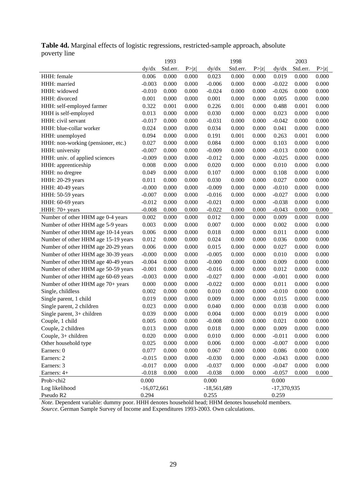## **Table 4d.** Marginal effects of logistic regressions, restricted-sample approach, absolute poverty line

|                                     |               | 1993     |        |               | 1998     |        |               | 2003     |        |
|-------------------------------------|---------------|----------|--------|---------------|----------|--------|---------------|----------|--------|
|                                     | dy/dx         | Std.err. | P >  z | dy/dx         | Std.err. | P >  z | dy/dx         | Std.err. | P >  z |
| HHH: female                         | 0.006         | 0.000    | 0.000  | 0.023         | 0.000    | 0.000  | 0.019         | 0.000    | 0.000  |
| HHH: married                        | $-0.003$      | 0.000    | 0.000  | $-0.006$      | 0.000    | 0.000  | $-0.022$      | 0.000    | 0.000  |
| HHH: widowed                        | $-0.010$      | 0.000    | 0.000  | $-0.024$      | 0.000    | 0.000  | $-0.026$      | 0.000    | 0.000  |
| HHH: divorced                       | 0.001         | 0.000    | 0.000  | 0.001         | 0.000    | 0.000  | 0.005         | 0.000    | 0.000  |
| HHH: self-employed farmer           | 0.322         | 0.001    | 0.000  | 0.226         | 0.001    | 0.000  | 0.488         | 0.001    | 0.000  |
| HHH is self-employed                | 0.013         | 0.000    | 0.000  | 0.030         | 0.000    | 0.000  | 0.023         | 0.000    | 0.000  |
| HHH: civil servant                  | $-0.017$      | 0.000    | 0.000  | $-0.031$      | 0.000    | 0.000  | $-0.042$      | 0.000    | 0.000  |
| HHH: blue-collar worker             | 0.024         | 0.000    | 0.000  | 0.034         | 0.000    | 0.000  | 0.041         | 0.000    | 0.000  |
| HHH: unemployed                     | 0.094         | 0.000    | 0.000  | 0.191         | 0.001    | 0.000  | 0.263         | 0.001    | 0.000  |
| HHH: non-working (pensioner, etc.)  | 0.027         | 0.000    | 0.000  | 0.084         | 0.000    | 0.000  | 0.103         | 0.000    | 0.000  |
| HHH: university                     | $-0.007$      | 0.000    | 0.000  | $-0.009$      | 0.000    | 0.000  | $-0.013$      | 0.000    | 0.000  |
| HHH: univ. of applied sciences      | $-0.009$      | 0.000    | 0.000  | $-0.012$      | 0.000    | 0.000  | $-0.025$      | 0.000    | 0.000  |
| HHH: apprenticeship                 | 0.008         | 0.000    | 0.000  | 0.020         | 0.000    | 0.000  | 0.010         | 0.000    | 0.000  |
| HHH: no dregree                     | 0.049         | 0.000    | 0.000  | 0.107         | 0.000    | 0.000  | 0.108         | 0.000    | 0.000  |
| HHH: 20-29 years                    | 0.011         | 0.000    | 0.000  | 0.030         | 0.000    | 0.000  | 0.027         | 0.000    | 0.000  |
| HHH: 40-49 years                    | $-0.000$      | 0.000    | 0.000  | $-0.009$      | 0.000    | 0.000  | $-0.010$      | 0.000    | 0.000  |
| HHH: 50-59 years                    | $-0.007$      | 0.000    | 0.000  | $-0.016$      | 0.000    | 0.000  | $-0.027$      | 0.000    | 0.000  |
| HHH: 60-69 years                    | $-0.012$      | 0.000    | 0.000  | $-0.021$      | 0.000    | 0.000  | $-0.038$      | 0.000    | 0.000  |
| HHH: 70+ years                      | $-0.008$      | 0.000    | 0.000  | $-0.022$      | 0.000    | 0.000  | $-0.043$      | 0.000    | 0.000  |
| Number of other HHM age 0-4 years   | 0.002         | 0.000    | 0.000  | 0.012         | 0.000    | 0.000  | 0.009         | 0.000    | 0.000  |
| Number of other HHM age 5-9 years   | 0.003         | 0.000    | 0.000  | 0.007         | 0.000    | 0.000  | 0.002         | 0.000    | 0.000  |
| Number of other HHM age 10-14 years | 0.006         | 0.000    | 0.000  | 0.018         | 0.000    | 0.000  | 0.011         | 0.000    | 0.000  |
| Number of other HHM age 15-19 years | 0.012         | 0.000    | 0.000  | 0.024         | 0.000    | 0.000  | 0.036         | 0.000    | 0.000  |
| Number of other HHM age 20-29 years | 0.006         | 0.000    | 0.000  | 0.015         | 0.000    | 0.000  | 0.027         | 0.000    | 0.000  |
| Number of other HHM age 30-39 years | $-0.000$      | 0.000    | 0.000  | $-0.005$      | 0.000    | 0.000  | 0.010         | 0.000    | 0.000  |
| Number of other HHM age 40-49 years | $-0.004$      | 0.000    | 0.000  | $-0.000$      | 0.000    | 0.000  | 0.009         | 0.000    | 0.000  |
| Number of other HHM age 50-59 years | $-0.001$      | 0.000    | 0.000  | $-0.016$      | 0.000    | 0.000  | 0.012         | 0.000    | 0.000  |
| Number of other HHM age 60-69 years | $-0.003$      | 0.000    | 0.000  | $-0.027$      | 0.000    | 0.000  | $-0.001$      | 0.000    | 0.000  |
| Number of other HHM age 70+ years   | 0.000         | 0.000    | 0.000  | $-0.022$      | 0.000    | 0.000  | 0.011         | 0.000    | 0.000  |
| Single, childless                   | 0.002         | 0.000    | 0.000  | 0.010         | 0.000    | 0.000  | $-0.010$      | 0.000    | 0.000  |
| Single parent, 1 child              | 0.019         | 0.000    | 0.000  | 0.009         | 0.000    | 0.000  | 0.015         | 0.000    | 0.000  |
| Single parent, 2 children           | 0.023         | 0.000    | 0.000  | 0.040         | 0.000    | 0.000  | 0.038         | 0.000    | 0.000  |
| Single parent, $3+$ children        | 0.039         | 0.000    | 0.000  | 0.004         | 0.000    | 0.000  | 0.019         | 0.000    | 0.000  |
| Couple, 1 child                     | 0.005         | 0.000    | 0.000  | $-0.008$      | 0.000    | 0.000  | 0.021         | 0.000    | 0.000  |
| Couple, 2 children                  | 0.013         | 0.000    | 0.000  | 0.018         | 0.000    | 0.000  | 0.009         | 0.000    | 0.000  |
| Couple, 3+ children                 | 0.020         | 0.000    | 0.000  | 0.010         | 0.000    | 0.000  | $-0.011$      | 0.000    | 0.000  |
| Other household type                | 0.025         | 0.000    | 0.000  | 0.006         | 0.000    | 0.000  | $-0.007$      | 0.000    | 0.000  |
| Earners: 0                          | 0.077         | 0.000    | 0.000  | 0.067         | 0.000    | 0.000  | 0.086         | 0.000    | 0.000  |
| Earners: 2                          | $-0.015$      | 0.000    | 0.000  | $-0.030$      | 0.000    | 0.000  | $-0.043$      | 0.000    | 0.000  |
| Earners: 3                          | $-0.017$      | 0.000    | 0.000  | $-0.037$      | 0.000    | 0.000  | $-0.047$      | 0.000    | 0.000  |
| Earners: 4+                         | $-0.018$      | 0.000    | 0.000  | $-0.038$      | 0.000    | 0.000  | $-0.057$      | 0.000    | 0.000  |
| Prob>chi2                           | 0.000         |          |        | 0.000         |          |        | 0.000         |          |        |
| Log likelihood                      | $-16,072,661$ |          |        | $-18,561,689$ |          |        | $-17,370,935$ |          |        |
| Pseudo R2                           | 0.294         |          |        | 0.255         |          |        | 0.259         |          |        |

*Note.* Dependent variable: dummy poor. HHH denotes household head; HHM denotes household members. *Source*. German Sample Survey of Income and Expenditures 1993-2003. Own calculations.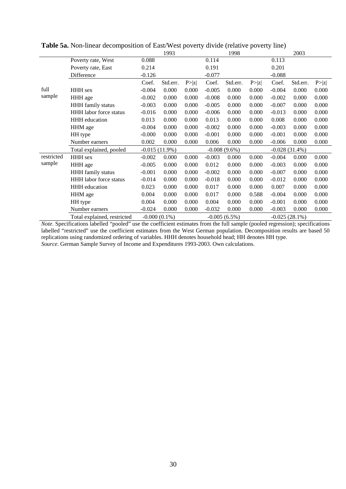|            |                               |          | 1993            |        |          | 1998            |        |          | 2003             |        |
|------------|-------------------------------|----------|-----------------|--------|----------|-----------------|--------|----------|------------------|--------|
|            | Poverty rate, West            | 0.088    |                 |        | 0.114    |                 |        | 0.113    |                  |        |
|            | Poverty rate, East            | 0.214    |                 |        | 0.191    |                 |        | 0.201    |                  |        |
|            | Difference                    | $-0.126$ |                 |        | $-0.077$ |                 |        | $-0.088$ |                  |        |
|            |                               | Coef.    | Std.err.        | P >  z | Coef.    | Std.err.        | P >  z | Coef.    | Std.err.         | P >  z |
| full       | <b>HHH</b> sex                | $-0.004$ | 0.000           | 0.000  | $-0.005$ | 0.000           | 0.000  | $-0.004$ | 0.000            | 0.000  |
| sample     | HHH age                       | $-0.002$ | 0.000           | 0.000  | $-0.008$ | 0.000           | 0.000  | $-0.002$ | 0.000            | 0.000  |
|            | HHH family status             | $-0.003$ | 0.000           | 0.000  | $-0.005$ | 0.000           | 0.000  | $-0.007$ | 0.000            | 0.000  |
|            | <b>HHH</b> labor force status | $-0.016$ | 0.000           | 0.000  | $-0.006$ | 0.000           | 0.000  | $-0.013$ | 0.000            | 0.000  |
|            | <b>HHH</b> education          | 0.013    | 0.000           | 0.000  | 0.013    | 0.000           | 0.000  | 0.008    | 0.000            | 0.000  |
|            | HHM age                       | $-0.004$ | 0.000           | 0.000  | $-0.002$ | 0.000           | 0.000  | $-0.003$ | 0.000            | 0.000  |
|            | HH type                       | $-0.000$ | 0.000           | 0.000  | $-0.001$ | 0.000           | 0.000  | $-0.001$ | 0.000            | 0.000  |
|            | Number earners                | 0.002    | 0.000           | 0.000  | 0.006    | 0.000           | 0.000  | $-0.006$ | 0.000            | 0.000  |
|            | Total explained, pooled       |          | $-0.015(11.9%)$ |        |          | $-0.008(9.6\%)$ |        |          | $-0.028(31.4%)$  |        |
| restricted | HHH sex                       | $-0.002$ | 0.000           | 0.000  | $-0.003$ | 0.000           | 0.000  | $-0.004$ | 0.000            | 0.000  |
| sample     | HHH age                       | $-0.005$ | 0.000           | 0.000  | 0.012    | 0.000           | 0.000  | $-0.003$ | 0.000            | 0.000  |
|            | HHH family status             | $-0.001$ | 0.000           | 0.000  | $-0.002$ | 0.000           | 0.000  | $-0.007$ | 0.000            | 0.000  |
|            | <b>HHH</b> labor force status | $-0.014$ | 0.000           | 0.000  | $-0.018$ | 0.000           | 0.000  | $-0.012$ | 0.000            | 0.000  |
|            | <b>HHH</b> education          | 0.023    | 0.000           | 0.000  | 0.017    | 0.000           | 0.000  | 0.007    | 0.000            | 0.000  |
|            | HHM age                       | 0.004    | 0.000           | 0.000  | 0.017    | 0.000           | 0.588  | $-0.004$ | 0.000            | 0.000  |
|            | HH type                       | 0.004    | 0.000           | 0.000  | 0.004    | 0.000           | 0.000  | $-0.001$ | 0.000            | 0.000  |
|            | Number earners                | $-0.024$ | 0.000           | 0.000  | $-0.032$ | 0.000           | 0.000  | $-0.003$ | 0.000            | 0.000  |
|            | Total explained, restricted   |          | $-0.000(0.1\%)$ |        |          | $-0.005(6.5%)$  |        |          | $-0.025(28.1\%)$ |        |

**Table 5a.** Non-linear decomposition of East/West poverty divide (relative poverty line)

*Note*. Specifications labelled "pooled" use the coefficient estimates from the full sample (pooled regression); specifications labelled "restricted" use the coefficient estimates from the West German population. Decomposition results are based 50 replications using randomized ordering of variables. HHH denotes household head; HH denotes HH type. *Source*. German Sample Survey of Income and Expenditures 1993-2003. Own calculations.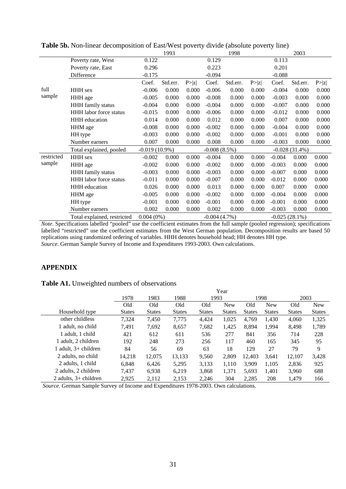|            |                               |                  | 1993     |        |                | 1998     |        |                  | 2003            |        |
|------------|-------------------------------|------------------|----------|--------|----------------|----------|--------|------------------|-----------------|--------|
|            | Poverty rate, West            | 0.122            |          |        | 0.129          |          |        | 0.113            |                 |        |
|            | Poverty rate, East            | 0.296            |          |        | 0.223          |          |        | 0.201            |                 |        |
|            | Difference                    | $-0.175$         |          |        | $-0.094$       |          |        | $-0.088$         |                 |        |
|            |                               | Coef.            | Std.err. | P >  z | Coef.          | Std.err. | P >  z | Coef.            | Std.err.        | P >  z |
| full       | <b>HHH</b> sex                | $-0.006$         | 0.000    | 0.000  | $-0.006$       | 0.000    | 0.000  | $-0.004$         | 0.000           | 0.000  |
| sample     | HHH age                       | $-0.005$         | 0.000    | 0.000  | $-0.008$       | 0.000    | 0.000  | $-0.003$         | 0.000           | 0.000  |
|            | HHH family status             | $-0.004$         | 0.000    | 0.000  | $-0.004$       | 0.000    | 0.000  | $-0.007$         | 0.000           | 0.000  |
|            | HHH labor force status        | $-0.015$         | 0.000    | 0.000  | $-0.006$       | 0.000    | 0.000  | $-0.012$         | 0.000           | 0.000  |
|            | <b>HHH</b> education          | 0.014            | 0.000    | 0.000  | 0.012          | 0.000    | 0.000  | 0.007            | 0.000           | 0.000  |
|            | HHM age                       | $-0.008$         | 0.000    | 0.000  | $-0.002$       | 0.000    | 0.000  | $-0.004$         | 0.000           | 0.000  |
|            | HH type                       | $-0.003$         | 0.000    | 0.000  | $-0.002$       | 0.000    | 0.000  | $-0.001$         | 0.000           | 0.000  |
|            | Number earners                | 0.007            | 0.000    | 0.000  | 0.008          | 0.000    | 0.000  | $-0.003$         | 0.000           | 0.000  |
|            | Total explained, pooled       | $-0.019(10.9\%)$ |          |        | $-0.008(8.5%)$ |          |        |                  | $-0.028(31.4%)$ |        |
| restricted | HHH sex                       | $-0.002$         | 0.000    | 0.000  | $-0.004$       | 0.000    | 0.000  | $-0.004$         | 0.000           | 0.000  |
| sample     | HHH age                       | $-0.002$         | 0.000    | 0.000  | $-0.002$       | 0.000    | 0.000  | $-0.003$         | 0.000           | 0.000  |
|            | HHH family status             | $-0.003$         | 0.000    | 0.000  | $-0.003$       | 0.000    | 0.000  | $-0.007$         | 0.000           | 0.000  |
|            | <b>HHH</b> labor force status | $-0.011$         | 0.000    | 0.000  | $-0.007$       | 0.000    | 0.000  | $-0.012$         | 0.000           | 0.000  |
|            | <b>HHH</b> education          | 0.026            | 0.000    | 0.000  | 0.013          | 0.000    | 0.000  | 0.007            | 0.000           | 0.000  |
|            | HHM age                       | $-0.005$         | 0.000    | 0.000  | $-0.002$       | 0.000    | 0.000  | $-0.004$         | 0.000           | 0.000  |
|            | HH type                       | $-0.001$         | 0.000    | 0.000  | $-0.001$       | 0.000    | 0.000  | $-0.001$         | 0.000           | 0.000  |
|            | Number earners                | 0.002            | 0.000    | 0.000  | 0.002          | 0.000    | 0.000  | $-0.003$         | 0.000           | 0.000  |
|            | Total explained, restricted   | $0.004(0\%)$     |          |        | $-0.004(4.7%)$ |          |        | $-0.025(28.1\%)$ |                 |        |

**Table 5b.** Non-linear decomposition of East/West poverty divide (absolute poverty line)

*Note*. Specifications labelled "pooled" use the coefficient estimates from the full sample (pooled regression); specifications labelled "restricted" use the coefficient estimates from the West German population. Decomposition results are based 50 replications using randomized ordering of variables. HHH denotes household head; HH denotes HH type. *Source*. German Sample Survey of Income and Expenditures 1993-2003. Own calculations.

## **APPENDIX**

#### **Table A1.** Unweighted numbers of observations

|                         |               |               |               |               | Year          |               |               |               |               |
|-------------------------|---------------|---------------|---------------|---------------|---------------|---------------|---------------|---------------|---------------|
|                         | 1978          | 1983          | 1988          | 1993          |               |               | 1998          | 2003          |               |
|                         | Old           | Old           | Old           | Old           | <b>New</b>    | Old           | <b>New</b>    | Old           | <b>New</b>    |
| Household type          | <b>States</b> | <b>States</b> | <b>States</b> | <b>States</b> | <b>States</b> | <b>States</b> | <b>States</b> | <b>States</b> | <b>States</b> |
| other childless         | 7,324         | 7,450         | 7,775         | 4,424         | 1,025         | 4,769         | 1,430         | 4.060         | 1,325         |
| 1 adult, no child       | 7.491         | 7,692         | 8,657         | 7,682         | 1,425         | 8,894         | 1,994         | 8,498         | 1,789         |
| 1 adult, 1 child        | 421           | 612           | 611           | 536           | 277           | 841           | 356           | 714           | 228           |
| . adult. 2 children     | 192           | 248           | 273           | 256           | 117           | 460           | 165           | 345           | 95            |
| 1 adult, $3+$ children  | 84            | 56            | 69            | 63            | 18            | 129           | 27            | 79            | 9             |
| 2 adults, no child      | 14.218        | 12,075        | 13,133        | 9,560         | 2,809         | 12.403        | 3.641         | 12,107        | 3,428         |
| 2 adults, 1 child       | 6.848         | 6,426         | 5,295         | 3,133         | 1,110         | 3,909         | 1,105         | 2,836         | 925           |
| 2 adults, 2 children    | 7.437         | 6.938         | 6,219         | 3,868         | 1,371         | 5,693         | 1.401         | 3.960         | 688           |
| 2 adults, $3+$ children | 2.925         | 2,112         | 2,153         | 2.246         | 304           | 2,285         | 208           | 1.479         | 166           |

*Source*. German Sample Survey of Income and Expenditures 1978-2003. Own calculations.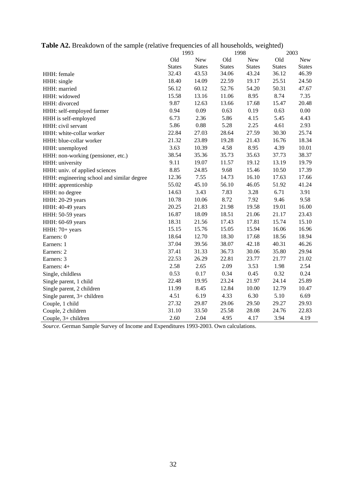| Table A2. Breakdown of the sample (relative frequencies of all households, weighted) |  |  |  |  |  |  |  |
|--------------------------------------------------------------------------------------|--|--|--|--|--|--|--|
|--------------------------------------------------------------------------------------|--|--|--|--|--|--|--|

|                                            |               | 1993          | 1998          |               | 2003          |               |
|--------------------------------------------|---------------|---------------|---------------|---------------|---------------|---------------|
|                                            | Old           | <b>New</b>    | Old           | <b>New</b>    | Old           | <b>New</b>    |
|                                            | <b>States</b> | <b>States</b> | <b>States</b> | <b>States</b> | <b>States</b> | <b>States</b> |
| HHH: female                                | 32.43         | 43.53         | 34.06         | 43.24         | 36.12         | 46.39         |
| HHH: single                                | 18.40         | 14.09         | 22.59         | 19.17         | 25.51         | 24.50         |
| HHH: married                               | 56.12         | 60.12         | 52.76         | 54.20         | 50.31         | 47.67         |
| HHH: widowed                               | 15.58         | 13.16         | 11.06         | 8.95          | 8.74          | 7.35          |
| HHH: divorced                              | 9.87          | 12.63         | 13.66         | 17.68         | 15.47         | 20.48         |
| HHH: self-employed farmer                  | 0.94          | 0.09          | 0.63          | 0.19          | 0.63          | 0.00          |
| HHH is self-employed                       | 6.73          | 2.36          | 5.86          | 4.15          | 5.45          | 4.43          |
| HHH: civil servant                         | 5.86          | 0.88          | 5.28          | 2.25          | 4.61          | 2.93          |
| HHH: white-collar worker                   | 22.84         | 27.03         | 28.64         | 27.59         | 30.30         | 25.74         |
| HHH: blue-collar worker                    | 21.32         | 23.89         | 19.28         | 21.43         | 16.76         | 18.34         |
| HHH: unemployed                            | 3.63          | 10.39         | 4.58          | 8.95          | 4.39          | 10.01         |
| HHH: non-working (pensioner, etc.)         | 38.54         | 35.36         | 35.73         | 35.63         | 37.73         | 38.37         |
| HHH: university                            | 9.11          | 19.07         | 11.57         | 19.12         | 13.19         | 19.79         |
| HHH: univ. of applied sciences             | 8.85          | 24.85         | 9.68          | 15.46         | 10.50         | 17.39         |
| HHH: engineering school and similar degree | 12.36         | 7.55          | 14.73         | 16.10         | 17.63         | 17.66         |
| HHH: apprenticeship                        | 55.02         | 45.10         | 56.10         | 46.05         | 51.92         | 41.24         |
| HHH: no degree                             | 14.63         | 3.43          | 7.83          | 3.28          | 6.71          | 3.91          |
| HHH: 20-29 years                           | 10.78         | 10.06         | 8.72          | 7.92          | 9.46          | 9.58          |
| HHH: 40-49 years                           | 20.25         | 21.83         | 21.98         | 19.58         | 19.01         | 16.00         |
| HHH: 50-59 years                           | 16.87         | 18.09         | 18.51         | 21.06         | 21.17         | 23.43         |
| HHH: 60-69 years                           | 18.31         | 21.56         | 17.43         | 17.81         | 15.74         | 15.10         |
| HHH: 70+ years                             | 15.15         | 15.76         | 15.05         | 15.94         | 16.06         | 16.96         |
| Earners: 0                                 | 18.64         | 12.70         | 18.30         | 17.68         | 18.56         | 18.94         |
| Earners: 1                                 | 37.04         | 39.56         | 38.07         | 42.18         | 40.31         | 46.26         |
| Earners: 2                                 | 37.41         | 31.33         | 36.73         | 30.06         | 35.80         | 29.94         |
| Earners: 3                                 | 22.53         | 26.29         | 22.81         | 23.77         | 21.77         | 21.02         |
| Earners: 4+                                | 2.58          | 2.65          | 2.09          | 3.53          | 1.98          | 2.54          |
| Single, childless                          | 0.53          | 0.17          | 0.34          | 0.45          | 0.32          | 0.24          |
| Single parent, 1 child                     | 22.48         | 19.95         | 23.24         | 21.97         | 24.14         | 25.89         |
| Single parent, 2 children                  | 11.99         | 8.45          | 12.84         | 10.00         | 12.79         | 10.47         |
| Single parent, 3+ children                 | 4.51          | 6.19          | 4.33          | 6.30          | 5.10          | 6.69          |
| Couple, 1 child                            | 27.32         | 29.87         | 29.06         | 29.50         | 29.27         | 29.93         |
| Couple, 2 children                         | 31.10         | 33.50         | 25.58         | 28.08         | 24.76         | 22.83         |
| Couple, 3+ children                        | 2.60          | 2.04          | 4.95          | 4.17          | 3.94          | 4.19          |

*Source*. German Sample Survey of Income and Expenditures 1993-2003. Own calculations.